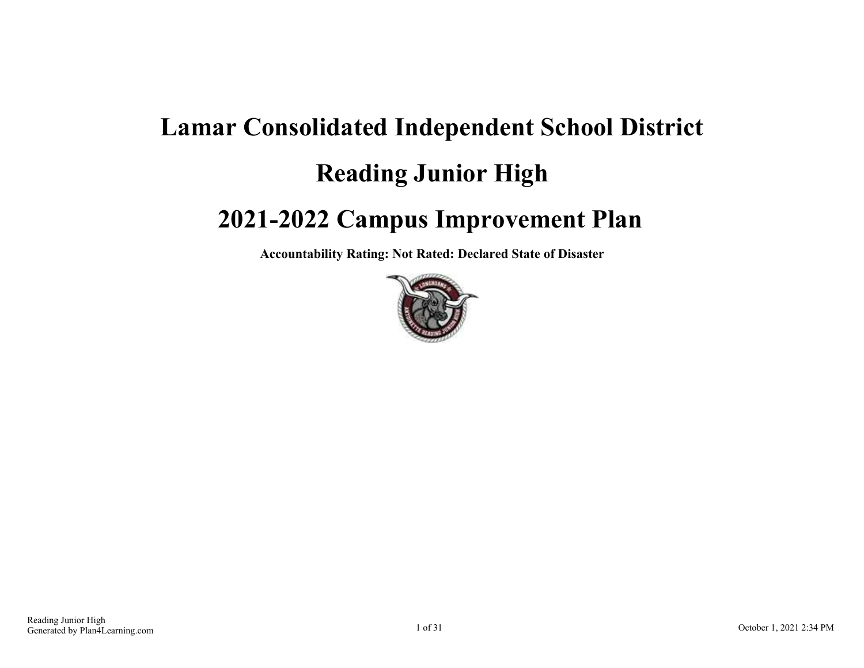# **Lamar Consolidated Independent School District Reading Junior High 2021-2022 Campus Improvement Plan**

**Accountability Rating: Not Rated: Declared State of Disaster**

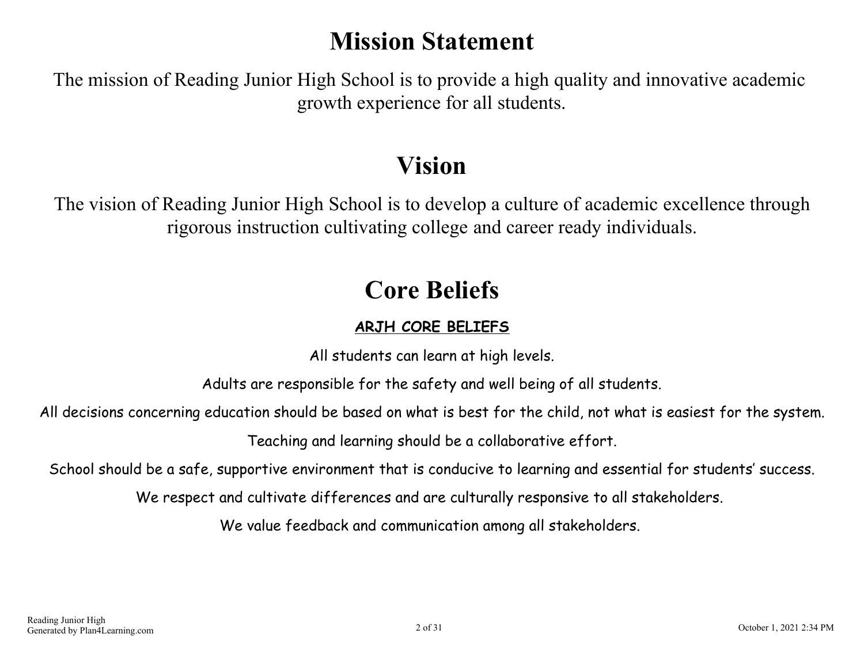### **Mission Statement**

The mission of Reading Junior High School is to provide a high quality and innovative academic growth experience for all students.

## **Vision**

The vision of Reading Junior High School is to develop a culture of academic excellence through rigorous instruction cultivating college and career ready individuals.

## **Core Beliefs**

### **ARJH CORE BELIEFS**

All students can learn at high levels.

Adults are responsible for the safety and well being of all students.

All decisions concerning education should be based on what is best for the child, not what is easiest for the system.

Teaching and learning should be a collaborative effort.

School should be a safe, supportive environment that is conducive to learning and essential for students' success.

We respect and cultivate differences and are culturally responsive to all stakeholders.

We value feedback and communication among all stakeholders.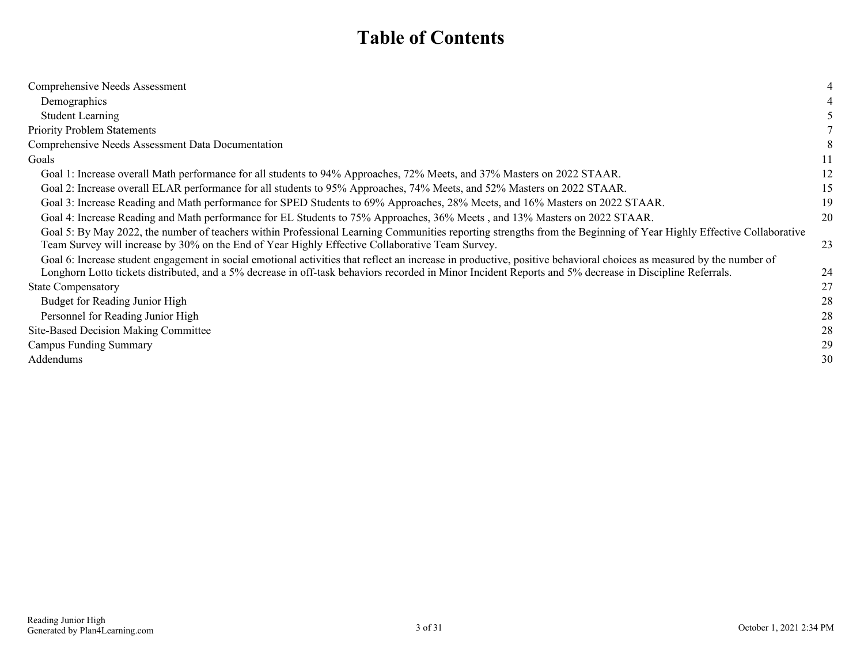### **Table of Contents**

| Comprehensive Needs Assessment                                                                                                                                                                                                                                                                                                                                                                                                               |    |
|----------------------------------------------------------------------------------------------------------------------------------------------------------------------------------------------------------------------------------------------------------------------------------------------------------------------------------------------------------------------------------------------------------------------------------------------|----|
| Demographics                                                                                                                                                                                                                                                                                                                                                                                                                                 |    |
| <b>Student Learning</b>                                                                                                                                                                                                                                                                                                                                                                                                                      |    |
| <b>Priority Problem Statements</b>                                                                                                                                                                                                                                                                                                                                                                                                           |    |
| Comprehensive Needs Assessment Data Documentation                                                                                                                                                                                                                                                                                                                                                                                            |    |
| Goals                                                                                                                                                                                                                                                                                                                                                                                                                                        | 11 |
| Goal 1: Increase overall Math performance for all students to 94% Approaches, 72% Meets, and 37% Masters on 2022 STAAR.                                                                                                                                                                                                                                                                                                                      | 12 |
| Goal 2: Increase overall ELAR performance for all students to 95% Approaches, 74% Meets, and 52% Masters on 2022 STAAR.                                                                                                                                                                                                                                                                                                                      | 15 |
| Goal 3: Increase Reading and Math performance for SPED Students to 69% Approaches, 28% Meets, and 16% Masters on 2022 STAAR.                                                                                                                                                                                                                                                                                                                 | 19 |
| Goal 4: Increase Reading and Math performance for EL Students to 75% Approaches, 36% Meets, and 13% Masters on 2022 STAAR.                                                                                                                                                                                                                                                                                                                   | 20 |
| Goal 5: By May 2022, the number of teachers within Professional Learning Communities reporting strengths from the Beginning of Year Highly Effective Collaborative<br>Team Survey will increase by 30% on the End of Year Highly Effective Collaborative Team Survey.<br>Goal 6: Increase student engagement in social emotional activities that reflect an increase in productive, positive behavioral choices as measured by the number of | 23 |
| Longhorn Lotto tickets distributed, and a 5% decrease in off-task behaviors recorded in Minor Incident Reports and 5% decrease in Discipline Referrals.                                                                                                                                                                                                                                                                                      | 24 |
| <b>State Compensatory</b>                                                                                                                                                                                                                                                                                                                                                                                                                    | 27 |
| Budget for Reading Junior High                                                                                                                                                                                                                                                                                                                                                                                                               | 28 |
| Personnel for Reading Junior High                                                                                                                                                                                                                                                                                                                                                                                                            | 28 |
| Site-Based Decision Making Committee                                                                                                                                                                                                                                                                                                                                                                                                         | 28 |
| Campus Funding Summary                                                                                                                                                                                                                                                                                                                                                                                                                       | 29 |
| Addendums                                                                                                                                                                                                                                                                                                                                                                                                                                    | 30 |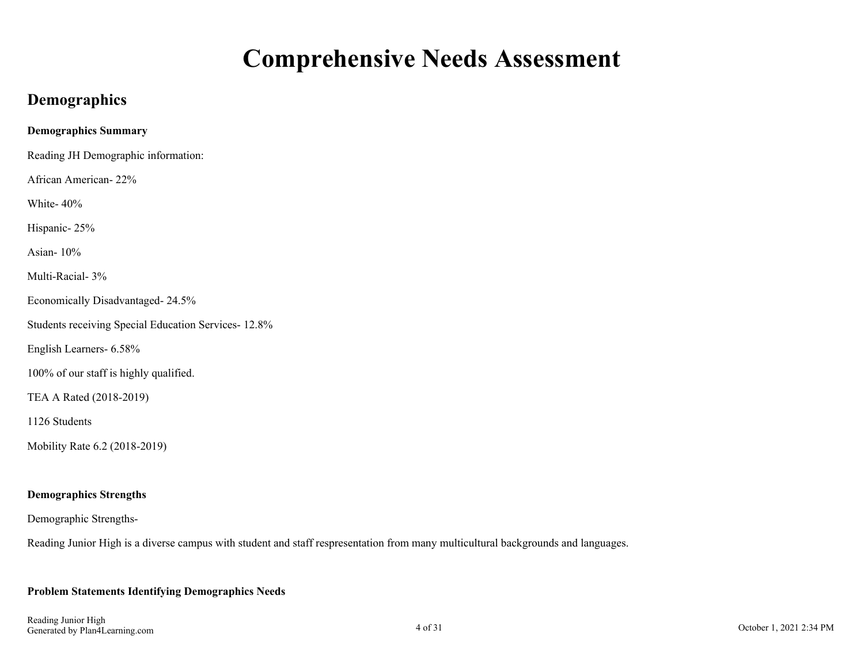### **Comprehensive Needs Assessment**

### <span id="page-3-0"></span>**Demographics**

| <b>Demographics Summary</b>                         |
|-----------------------------------------------------|
| Reading JH Demographic information:                 |
| African American-22%                                |
| White-40%                                           |
| Hispanic-25%                                        |
| Asian-10%                                           |
| Multi-Racial- 3%                                    |
| Economically Disadvantaged-24.5%                    |
| Students receiving Special Education Services-12.8% |
| English Learners- 6.58%                             |
| 100% of our staff is highly qualified.              |
| TEA A Rated (2018-2019)                             |
| 1126 Students                                       |
| Mobility Rate 6.2 (2018-2019)                       |
|                                                     |

### **Demographics Strengths**

Demographic Strengths-

Reading Junior High is a diverse campus with student and staff respresentation from many multicultural backgrounds and languages.

#### **Problem Statements Identifying Demographics Needs**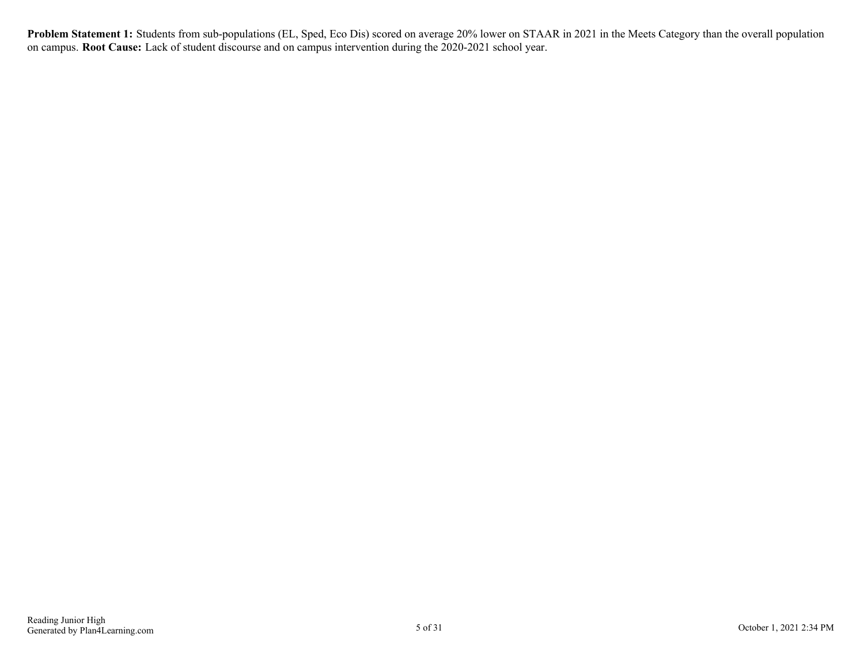**Problem Statement 1:** Students from sub-populations (EL, Sped, Eco Dis) scored on average 20% lower on STAAR in 2021 in the Meets Category than the overall population on campus. **Root Cause:** Lack of student discourse and on campus intervention during the 2020-2021 school year.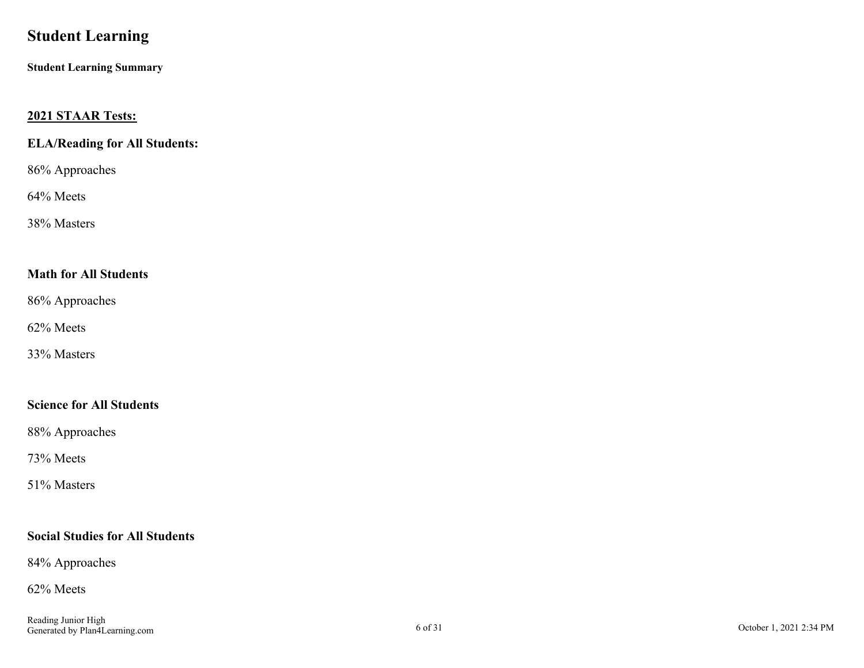### <span id="page-5-0"></span>**Student Learning**

**Student Learning Summary**

### **2021 STAAR Tests:**

### **ELA/Reading for All Students:**

86% Approaches

### 64% Meets

38% Masters

### **Math for All Students**

86% Approaches

62% Meets

33% Masters

### **Science for All Students**

88% Approaches

73% Meets

51% Masters

### **Social Studies for All Students**

84% Approaches

#### 62% Meets

Reading Junior High Generated by Plan4Learning.com 6 of 31 October 1, 2021 2:34 PM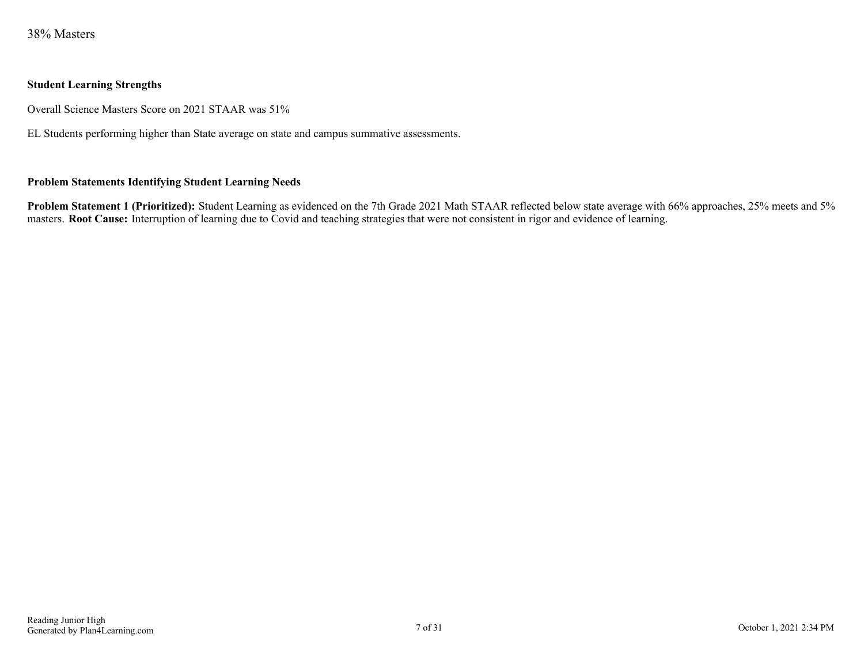38% Masters

#### **Student Learning Strengths**

Overall Science Masters Score on 2021 STAAR was 51%

EL Students performing higher than State average on state and campus summative assessments.

#### **Problem Statements Identifying Student Learning Needs**

**Problem Statement 1 (Prioritized):** Student Learning as evidenced on the 7th Grade 2021 Math STAAR reflected below state average with 66% approaches, 25% meets and 5% masters. **Root Cause:** Interruption of learning due to Covid and teaching strategies that were not consistent in rigor and evidence of learning.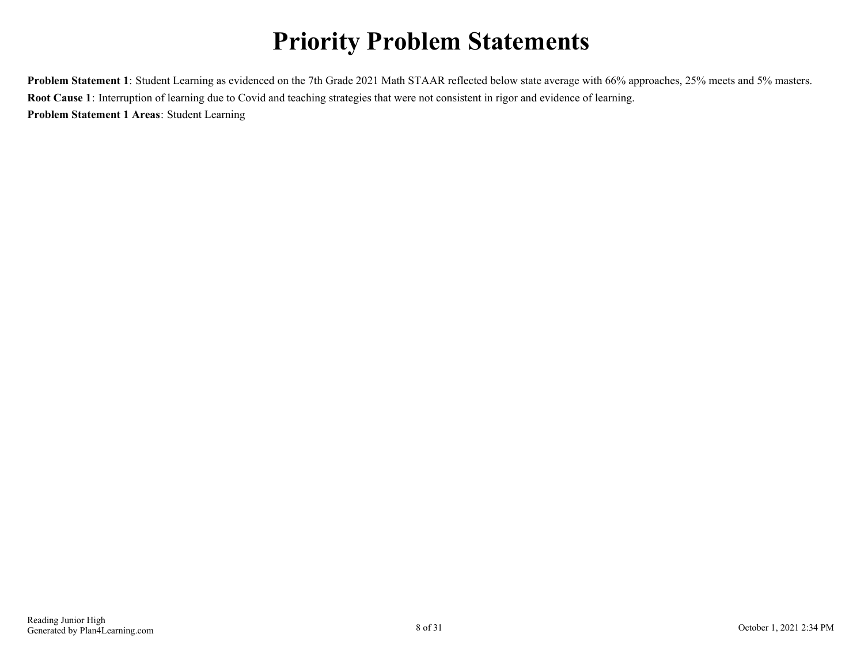## **Priority Problem Statements**

<span id="page-7-0"></span>**Problem Statement 1**: Student Learning as evidenced on the 7th Grade 2021 Math STAAR reflected below state average with 66% approaches, 25% meets and 5% masters. **Root Cause 1**: Interruption of learning due to Covid and teaching strategies that were not consistent in rigor and evidence of learning. **Problem Statement 1 Areas**: Student Learning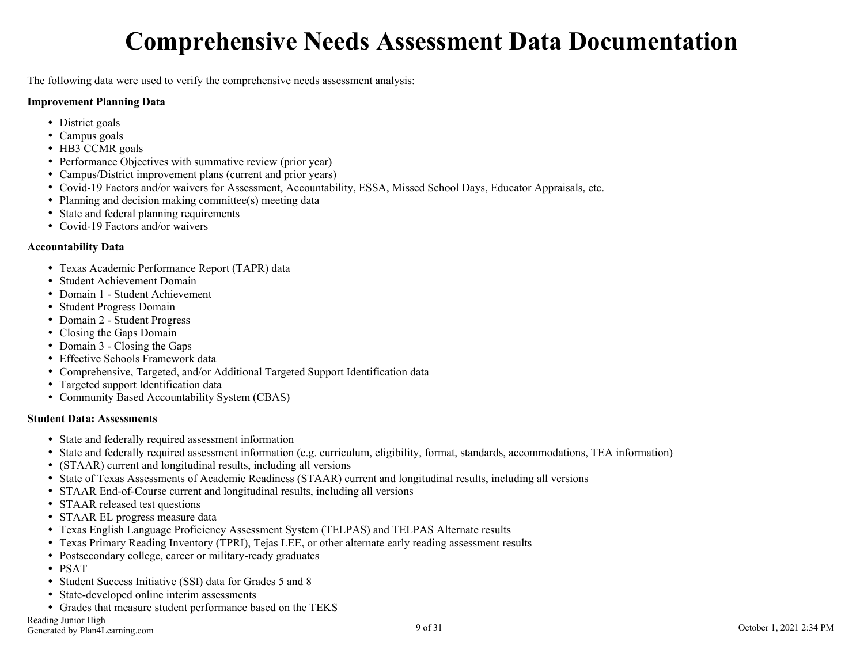### **Comprehensive Needs Assessment Data Documentation**

<span id="page-8-0"></span>The following data were used to verify the comprehensive needs assessment analysis:

#### **Improvement Planning Data**

- District goals
- Campus goals
- HB3 CCMR goals
- Performance Objectives with summative review (prior year)
- Campus/District improvement plans (current and prior years)
- Covid-19 Factors and/or waivers for Assessment, Accountability, ESSA, Missed School Days, Educator Appraisals, etc.
- Planning and decision making committee(s) meeting data
- State and federal planning requirements
- Covid-19 Factors and/or waivers

#### **Accountability Data**

- Texas Academic Performance Report (TAPR) data
- Student Achievement Domain
- Domain 1 Student Achievement
- Student Progress Domain
- Domain 2 Student Progress
- Closing the Gaps Domain
- Domain 3 Closing the Gaps
- Effective Schools Framework data
- Comprehensive, Targeted, and/or Additional Targeted Support Identification data
- Targeted support Identification data
- Community Based Accountability System (CBAS)

#### **Student Data: Assessments**

- State and federally required assessment information
- State and federally required assessment information (e.g. curriculum, eligibility, format, standards, accommodations, TEA information)
- (STAAR) current and longitudinal results, including all versions
- State of Texas Assessments of Academic Readiness (STAAR) current and longitudinal results, including all versions
- STAAR End-of-Course current and longitudinal results, including all versions
- STAAR released test questions
- STAAR EL progress measure data
- Texas English Language Proficiency Assessment System (TELPAS) and TELPAS Alternate results
- Texas Primary Reading Inventory (TPRI), Tejas LEE, or other alternate early reading assessment results
- Postsecondary college, career or military-ready graduates
- PSAT
- Student Success Initiative (SSI) data for Grades 5 and 8
- State-developed online interim assessments
- Grades that measure student performance based on the TEKS

Reading Junior High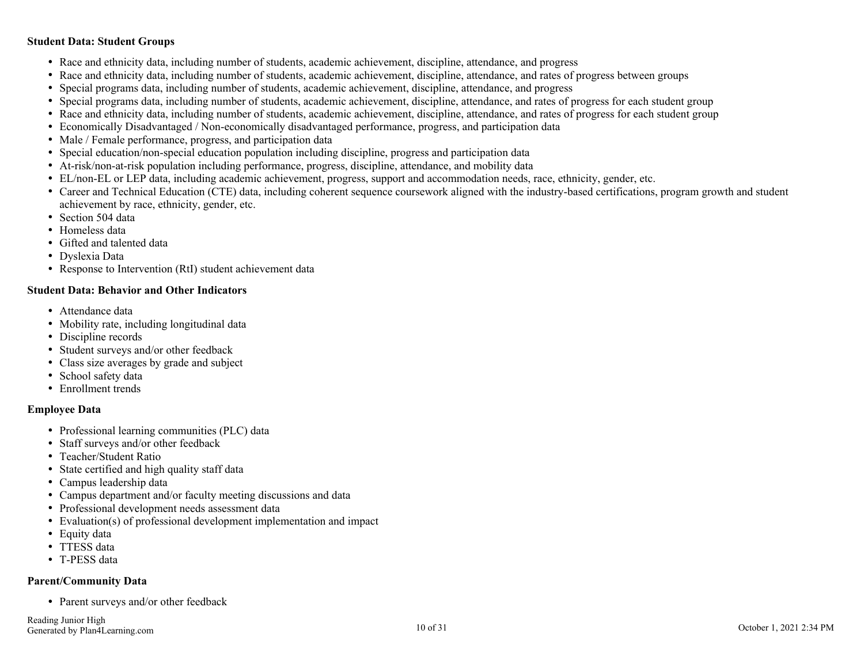#### **Student Data: Student Groups**

- Race and ethnicity data, including number of students, academic achievement, discipline, attendance, and progress
- Race and ethnicity data, including number of students, academic achievement, discipline, attendance, and rates of progress between groups
- Special programs data, including number of students, academic achievement, discipline, attendance, and progress
- Special programs data, including number of students, academic achievement, discipline, attendance, and rates of progress for each student group
- Race and ethnicity data, including number of students, academic achievement, discipline, attendance, and rates of progress for each student group
- Economically Disadvantaged / Non-economically disadvantaged performance, progress, and participation data
- Male / Female performance, progress, and participation data
- Special education/non-special education population including discipline, progress and participation data
- At-risk/non-at-risk population including performance, progress, discipline, attendance, and mobility data
- EL/non-EL or LEP data, including academic achievement, progress, support and accommodation needs, race, ethnicity, gender, etc.
- Career and Technical Education (CTE) data, including coherent sequence coursework aligned with the industry-based certifications, program growth and student achievement by race, ethnicity, gender, etc.
- Section 504 data
- Homeless data
- Gifted and talented data
- Dyslexia Data
- Response to Intervention (RtI) student achievement data

#### **Student Data: Behavior and Other Indicators**

- Attendance data
- Mobility rate, including longitudinal data
- Discipline records
- Student surveys and/or other feedback
- Class size averages by grade and subject
- School safety data
- Enrollment trends

#### **Employee Data**

- Professional learning communities (PLC) data
- Staff surveys and/or other feedback
- Teacher/Student Ratio
- State certified and high quality staff data
- Campus leadership data
- Campus department and/or faculty meeting discussions and data
- Professional development needs assessment data
- Evaluation(s) of professional development implementation and impact
- Equity data
- TTESS data
- T-PESS data

#### **Parent/Community Data**

• Parent surveys and/or other feedback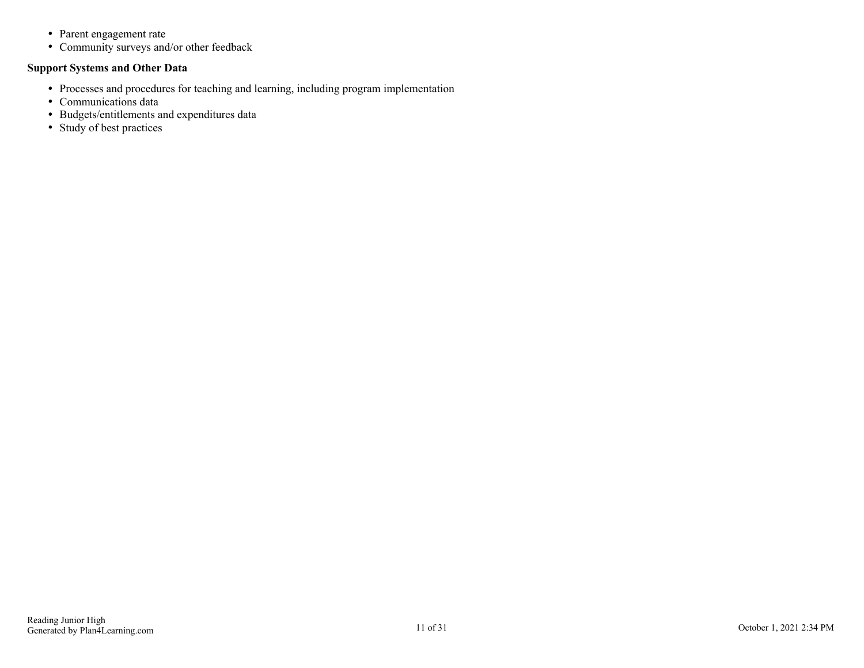- Parent engagement rate
- Community surveys and/or other feedback

### **Support Systems and Other Data**

- Processes and procedures for teaching and learning, including program implementation
- Communications data
- Budgets/entitlements and expenditures data
- Study of best practices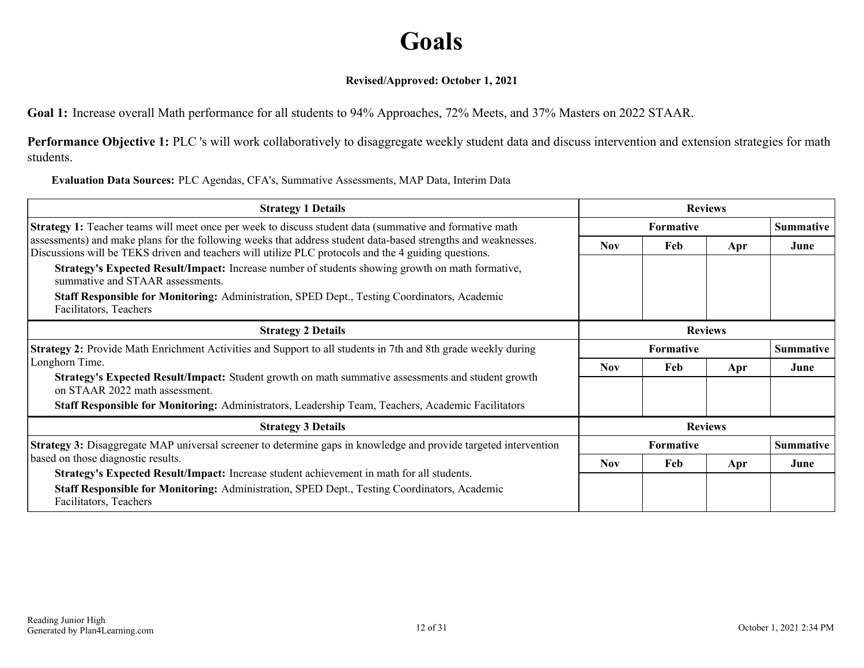### **Goals**

### **Revised/Approved: October 1, 2021**

<span id="page-11-0"></span>**Goal 1:** Increase overall Math performance for all students to 94% Approaches, 72% Meets, and 37% Masters on 2022 STAAR.

Performance Objective 1: PLC 's will work collaboratively to disaggregate weekly student data and discuss intervention and extension strategies for math students.

**Evaluation Data Sources:** PLC Agendas, CFA's, Summative Assessments, MAP Data, Interim Data

| <b>Strategy 1 Details</b>                                                                                                                                                                                             | <b>Reviews</b>   |                  |                |                  |                  |
|-----------------------------------------------------------------------------------------------------------------------------------------------------------------------------------------------------------------------|------------------|------------------|----------------|------------------|------------------|
| <b>Strategy 1:</b> Teacher teams will meet once per week to discuss student data (summative and formative math                                                                                                        | <b>Formative</b> |                  |                |                  | <b>Summative</b> |
| assessments) and make plans for the following weeks that address student data-based strengths and weaknesses.<br>Discussions will be TEKS driven and teachers will utilize PLC protocols and the 4 guiding questions. | <b>Nov</b>       | Feb              | Apr            | June             |                  |
| Strategy's Expected Result/Impact: Increase number of students showing growth on math formative,<br>summative and STAAR assessments.                                                                                  |                  |                  |                |                  |                  |
| <b>Staff Responsible for Monitoring:</b> Administration, SPED Dept., Testing Coordinators, Academic<br>Facilitators, Teachers                                                                                         |                  |                  |                |                  |                  |
| <b>Strategy 2 Details</b>                                                                                                                                                                                             | <b>Reviews</b>   |                  |                |                  |                  |
| <b>Strategy 2:</b> Provide Math Enrichment Activities and Support to all students in 7th and 8th grade weekly during                                                                                                  |                  | <b>Formative</b> |                | <b>Summative</b> |                  |
| Longhorn Time.                                                                                                                                                                                                        | <b>Nov</b>       | Feb              | Apr            | June             |                  |
| Strategy's Expected Result/Impact: Student growth on math summative assessments and student growth<br>on STAAR 2022 math assessment.                                                                                  |                  |                  |                |                  |                  |
| Staff Responsible for Monitoring: Administrators, Leadership Team, Teachers, Academic Facilitators                                                                                                                    |                  |                  |                |                  |                  |
| <b>Strategy 3 Details</b>                                                                                                                                                                                             |                  |                  | <b>Reviews</b> |                  |                  |
| <b>Strategy 3:</b> Disaggregate MAP universal screener to determine gaps in knowledge and provide targeted intervention                                                                                               |                  | <b>Formative</b> |                | <b>Summative</b> |                  |
| based on those diagnostic results.                                                                                                                                                                                    | <b>Nov</b>       | Feb              | Apr            | June             |                  |
| Strategy's Expected Result/Impact: Increase student achievement in math for all students.                                                                                                                             |                  |                  |                |                  |                  |
| Staff Responsible for Monitoring: Administration, SPED Dept., Testing Coordinators, Academic<br>Facilitators, Teachers                                                                                                |                  |                  |                |                  |                  |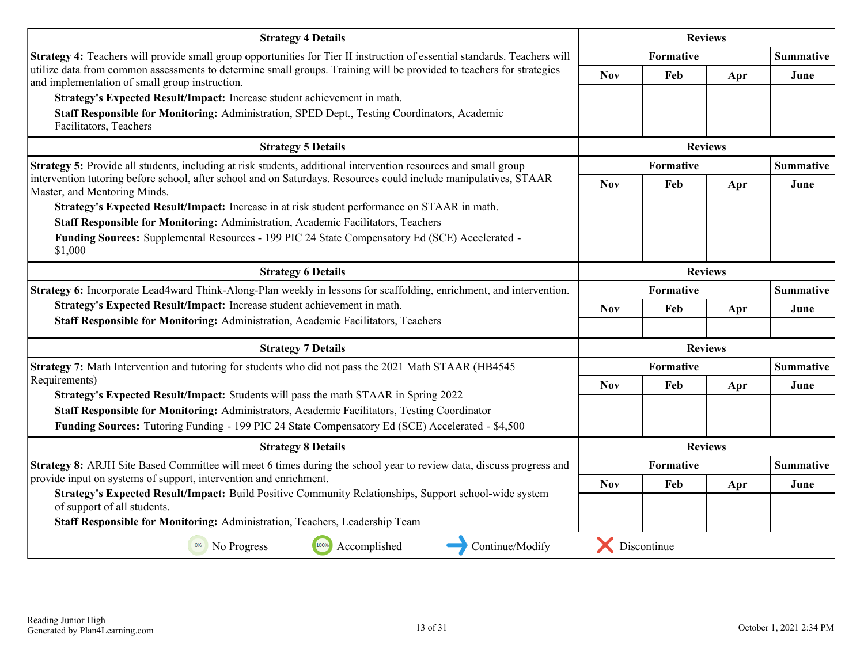| <b>Strategy 4 Details</b>                                                                                                                                                                | <b>Reviews</b>                |                  |                |                  |  |
|------------------------------------------------------------------------------------------------------------------------------------------------------------------------------------------|-------------------------------|------------------|----------------|------------------|--|
| Strategy 4: Teachers will provide small group opportunities for Tier II instruction of essential standards. Teachers will                                                                |                               | Formative        |                |                  |  |
| utilize data from common assessments to determine small groups. Training will be provided to teachers for strategies<br>and implementation of small group instruction.                   | <b>Nov</b>                    | Feb              | Apr            | June             |  |
| Strategy's Expected Result/Impact: Increase student achievement in math.                                                                                                                 |                               |                  |                |                  |  |
| Staff Responsible for Monitoring: Administration, SPED Dept., Testing Coordinators, Academic                                                                                             |                               |                  |                |                  |  |
| Facilitators, Teachers                                                                                                                                                                   |                               |                  |                |                  |  |
| <b>Strategy 5 Details</b>                                                                                                                                                                |                               | <b>Reviews</b>   |                |                  |  |
| Strategy 5: Provide all students, including at risk students, additional intervention resources and small group                                                                          | Formative<br><b>Summative</b> |                  |                |                  |  |
| intervention tutoring before school, after school and on Saturdays. Resources could include manipulatives, STAAR<br>Master, and Mentoring Minds.                                         | <b>Nov</b>                    | Feb              | Apr            | June             |  |
| Strategy's Expected Result/Impact: Increase in at risk student performance on STAAR in math.                                                                                             |                               |                  |                |                  |  |
| Staff Responsible for Monitoring: Administration, Academic Facilitators, Teachers                                                                                                        |                               |                  |                |                  |  |
| Funding Sources: Supplemental Resources - 199 PIC 24 State Compensatory Ed (SCE) Accelerated -<br>\$1,000                                                                                |                               |                  |                |                  |  |
| <b>Strategy 6 Details</b>                                                                                                                                                                | <b>Reviews</b>                |                  |                |                  |  |
| Strategy 6: Incorporate Lead4ward Think-Along-Plan weekly in lessons for scaffolding, enrichment, and intervention.                                                                      |                               | <b>Formative</b> |                | <b>Summative</b> |  |
| Strategy's Expected Result/Impact: Increase student achievement in math.                                                                                                                 | <b>Nov</b>                    | Feb              | Apr            | June             |  |
| Staff Responsible for Monitoring: Administration, Academic Facilitators, Teachers                                                                                                        |                               |                  |                |                  |  |
| <b>Strategy 7 Details</b>                                                                                                                                                                |                               |                  | <b>Reviews</b> |                  |  |
| Strategy 7: Math Intervention and tutoring for students who did not pass the 2021 Math STAAR (HB4545)                                                                                    |                               | Formative        |                | <b>Summative</b> |  |
| Requirements)                                                                                                                                                                            | <b>Nov</b>                    | Feb              | Apr            | June             |  |
| Strategy's Expected Result/Impact: Students will pass the math STAAR in Spring 2022<br>Staff Responsible for Monitoring: Administrators, Academic Facilitators, Testing Coordinator      |                               |                  |                |                  |  |
| Funding Sources: Tutoring Funding - 199 PIC 24 State Compensatory Ed (SCE) Accelerated - \$4,500                                                                                         |                               |                  |                |                  |  |
|                                                                                                                                                                                          |                               |                  |                |                  |  |
| <b>Strategy 8 Details</b>                                                                                                                                                                |                               |                  | <b>Reviews</b> |                  |  |
| Strategy 8: ARJH Site Based Committee will meet 6 times during the school year to review data, discuss progress and<br>provide input on systems of support, intervention and enrichment. |                               | Formative        |                | <b>Summative</b> |  |
| Strategy's Expected Result/Impact: Build Positive Community Relationships, Support school-wide system                                                                                    | <b>Nov</b>                    | Feb              | Apr            | June             |  |
| of support of all students.                                                                                                                                                              |                               |                  |                |                  |  |
| Staff Responsible for Monitoring: Administration, Teachers, Leadership Team                                                                                                              |                               |                  |                |                  |  |
| 100%<br>Accomplished<br>Continue/Modify<br>0%<br>No Progress                                                                                                                             |                               | Discontinue      |                |                  |  |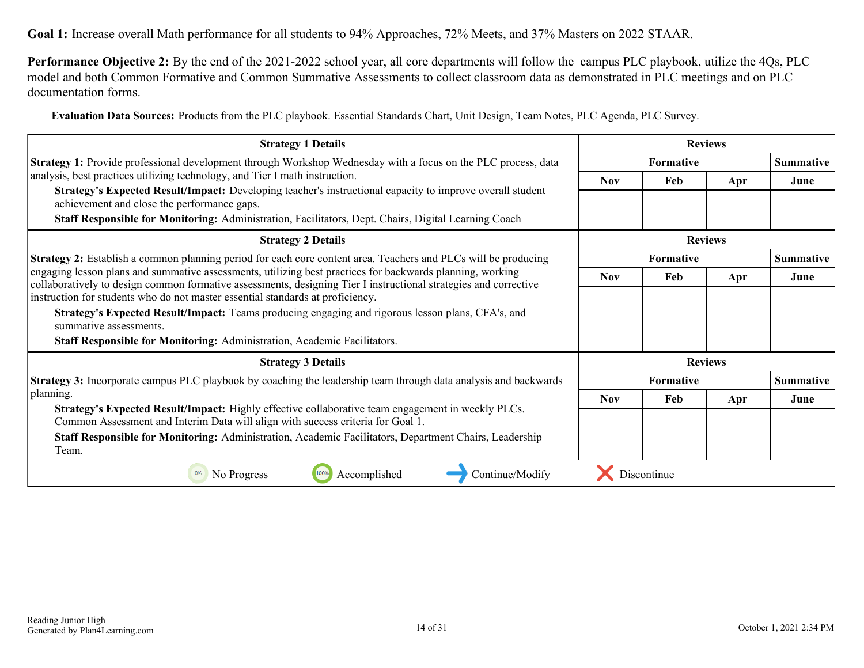**Performance Objective 2:** By the end of the 2021-2022 school year, all core departments will follow the campus PLC playbook, utilize the 4Qs, PLC model and both Common Formative and Common Summative Assessments to collect classroom data as demonstrated in PLC meetings and on PLC documentation forms.

**Evaluation Data Sources:** Products from the PLC playbook. Essential Standards Chart, Unit Design, Team Notes, PLC Agenda, PLC Survey.

| <b>Strategy 1 Details</b>                                                                                                                                                                                                     | <b>Reviews</b>   |             |                  |                  |
|-------------------------------------------------------------------------------------------------------------------------------------------------------------------------------------------------------------------------------|------------------|-------------|------------------|------------------|
| <b>Strategy 1:</b> Provide professional development through Workshop Wednesday with a focus on the PLC process, data                                                                                                          | <b>Formative</b> |             | <b>Summative</b> |                  |
| analysis, best practices utilizing technology, and Tier I math instruction.                                                                                                                                                   | <b>Nov</b>       | Feb         | Apr              | June             |
| Strategy's Expected Result/Impact: Developing teacher's instructional capacity to improve overall student<br>achievement and close the performance gaps.                                                                      |                  |             |                  |                  |
| Staff Responsible for Monitoring: Administration, Facilitators, Dept. Chairs, Digital Learning Coach                                                                                                                          |                  |             |                  |                  |
| <b>Strategy 2 Details</b>                                                                                                                                                                                                     |                  |             |                  |                  |
| Strategy 2: Establish a common planning period for each core content area. Teachers and PLCs will be producing                                                                                                                | Formative        |             |                  | <b>Summative</b> |
| engaging lesson plans and summative assessments, utilizing best practices for backwards planning, working<br>collaboratively to design common formative assessments, designing Tier I instructional strategies and corrective | <b>Nov</b>       | Feb         | Apr              | June             |
| instruction for students who do not master essential standards at proficiency.                                                                                                                                                |                  |             |                  |                  |
| Strategy's Expected Result/Impact: Teams producing engaging and rigorous lesson plans, CFA's, and<br>summative assessments.                                                                                                   |                  |             |                  |                  |
| <b>Staff Responsible for Monitoring: Administration, Academic Facilitators.</b>                                                                                                                                               |                  |             |                  |                  |
| <b>Strategy 3 Details</b>                                                                                                                                                                                                     |                  |             | <b>Reviews</b>   |                  |
| <b>Strategy 3:</b> Incorporate campus PLC playbook by coaching the leadership team through data analysis and backwards                                                                                                        |                  | Formative   |                  | <b>Summative</b> |
| planning.                                                                                                                                                                                                                     | <b>Nov</b>       | Feb         | Apr              | June             |
| Strategy's Expected Result/Impact: Highly effective collaborative team engagement in weekly PLCs.<br>Common Assessment and Interim Data will align with success criteria for Goal 1.                                          |                  |             |                  |                  |
| Staff Responsible for Monitoring: Administration, Academic Facilitators, Department Chairs, Leadership<br>Team.                                                                                                               |                  |             |                  |                  |
| Accomplished<br>Continue/Modify<br>No Progress                                                                                                                                                                                |                  | Discontinue |                  |                  |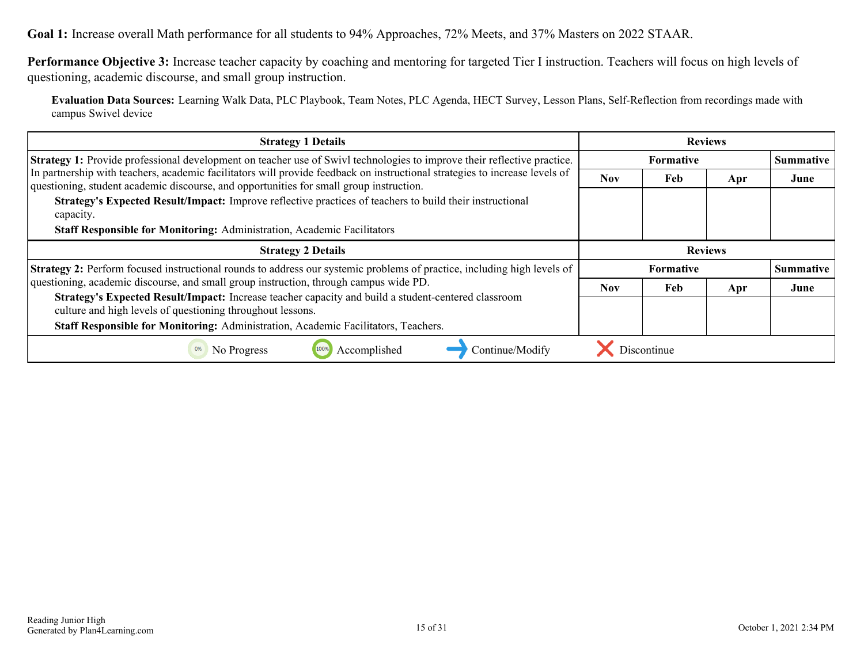**Goal 1:** Increase overall Math performance for all students to 94% Approaches, 72% Meets, and 37% Masters on 2022 STAAR.

**Performance Objective 3:** Increase teacher capacity by coaching and mentoring for targeted Tier I instruction. Teachers will focus on high levels of questioning, academic discourse, and small group instruction.

**Evaluation Data Sources:** Learning Walk Data, PLC Playbook, Team Notes, PLC Agenda, HECT Survey, Lesson Plans, Self-Reflection from recordings made with campus Swivel device

| <b>Strategy 1 Details</b>                                                                                                                                                                                              | <b>Reviews</b>   |                |     |                  |
|------------------------------------------------------------------------------------------------------------------------------------------------------------------------------------------------------------------------|------------------|----------------|-----|------------------|
| <b>Strategy 1:</b> Provide professional development on teacher use of Swivl technologies to improve their reflective practice.                                                                                         | <b>Formative</b> |                |     | <b>Summative</b> |
| In partnership with teachers, academic facilitators will provide feedback on instructional strategies to increase levels of<br>questioning, student academic discourse, and opportunities for small group instruction. | Nov.             | Feb            | Apr | June             |
| Strategy's Expected Result/Impact: Improve reflective practices of teachers to build their instructional<br>capacity.<br>Staff Responsible for Monitoring: Administration, Academic Facilitators                       |                  |                |     |                  |
| <b>Strategy 2 Details</b>                                                                                                                                                                                              |                  | <b>Reviews</b> |     |                  |
| Strategy 2: Perform focused instructional rounds to address our systemic problems of practice, including high levels of                                                                                                | <b>Formative</b> |                |     | <b>Summative</b> |
| questioning, academic discourse, and small group instruction, through campus wide PD.                                                                                                                                  | <b>Nov</b>       | Feb            | Apr | June             |
| Strategy's Expected Result/Impact: Increase teacher capacity and build a student-centered classroom<br>culture and high levels of questioning throughout lessons.                                                      |                  |                |     |                  |
| Staff Responsible for Monitoring: Administration, Academic Facilitators, Teachers.                                                                                                                                     |                  |                |     |                  |
| Accomplished<br>0%<br>Continue/Modify<br>No Progress                                                                                                                                                                   |                  | Discontinue    |     |                  |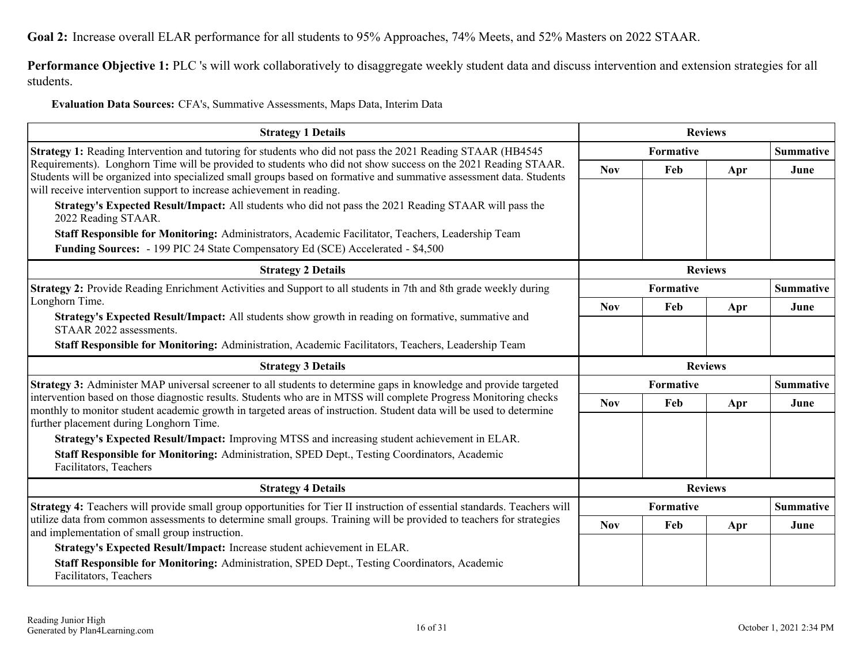<span id="page-15-0"></span>**Performance Objective 1:** PLC 's will work collaboratively to disaggregate weekly student data and discuss intervention and extension strategies for all students.

**Evaluation Data Sources:** CFA's, Summative Assessments, Maps Data, Interim Data

| <b>Strategy 1 Details</b>                                                                                                                                                                                                                                                                                     | <b>Reviews</b> |                  |                  |                  |
|---------------------------------------------------------------------------------------------------------------------------------------------------------------------------------------------------------------------------------------------------------------------------------------------------------------|----------------|------------------|------------------|------------------|
| Strategy 1: Reading Intervention and tutoring for students who did not pass the 2021 Reading STAAR (HB4545)                                                                                                                                                                                                   | Formative      |                  |                  | <b>Summative</b> |
| Requirements). Longhorn Time will be provided to students who did not show success on the 2021 Reading STAAR.<br>Students will be organized into specialized small groups based on formative and summative assessment data. Students<br>will receive intervention support to increase achievement in reading. | <b>Nov</b>     | Feb              | Apr              | June             |
| Strategy's Expected Result/Impact: All students who did not pass the 2021 Reading STAAR will pass the<br>2022 Reading STAAR.                                                                                                                                                                                  |                |                  |                  |                  |
| Staff Responsible for Monitoring: Administrators, Academic Facilitator, Teachers, Leadership Team                                                                                                                                                                                                             |                |                  |                  |                  |
| Funding Sources: - 199 PIC 24 State Compensatory Ed (SCE) Accelerated - \$4,500                                                                                                                                                                                                                               |                |                  |                  |                  |
| <b>Strategy 2 Details</b>                                                                                                                                                                                                                                                                                     |                |                  | <b>Reviews</b>   |                  |
| Strategy 2: Provide Reading Enrichment Activities and Support to all students in 7th and 8th grade weekly during                                                                                                                                                                                              |                | <b>Formative</b> | <b>Summative</b> |                  |
| Longhorn Time.                                                                                                                                                                                                                                                                                                | <b>Nov</b>     | Feb              | Apr              | June             |
| Strategy's Expected Result/Impact: All students show growth in reading on formative, summative and<br>STAAR 2022 assessments.                                                                                                                                                                                 |                |                  |                  |                  |
| Staff Responsible for Monitoring: Administration, Academic Facilitators, Teachers, Leadership Team                                                                                                                                                                                                            |                |                  |                  |                  |
| <b>Strategy 3 Details</b>                                                                                                                                                                                                                                                                                     | <b>Reviews</b> |                  |                  |                  |
| Strategy 3: Administer MAP universal screener to all students to determine gaps in knowledge and provide targeted                                                                                                                                                                                             |                | <b>Formative</b> |                  | <b>Summative</b> |
| intervention based on those diagnostic results. Students who are in MTSS will complete Progress Monitoring checks<br>monthly to monitor student academic growth in targeted areas of instruction. Student data will be used to determine<br>further placement during Longhorn Time.                           | <b>Nov</b>     | Feb              | Apr              | June             |
|                                                                                                                                                                                                                                                                                                               |                |                  |                  |                  |
|                                                                                                                                                                                                                                                                                                               |                |                  |                  |                  |
| Strategy's Expected Result/Impact: Improving MTSS and increasing student achievement in ELAR.<br>Staff Responsible for Monitoring: Administration, SPED Dept., Testing Coordinators, Academic<br>Facilitators, Teachers                                                                                       |                |                  |                  |                  |
| <b>Strategy 4 Details</b>                                                                                                                                                                                                                                                                                     |                |                  | <b>Reviews</b>   |                  |
| Strategy 4: Teachers will provide small group opportunities for Tier II instruction of essential standards. Teachers will                                                                                                                                                                                     |                | <b>Formative</b> |                  | <b>Summative</b> |
| utilize data from common assessments to determine small groups. Training will be provided to teachers for strategies<br>and implementation of small group instruction.                                                                                                                                        | <b>Nov</b>     | Feb              | Apr              | June             |
| Strategy's Expected Result/Impact: Increase student achievement in ELAR.                                                                                                                                                                                                                                      |                |                  |                  |                  |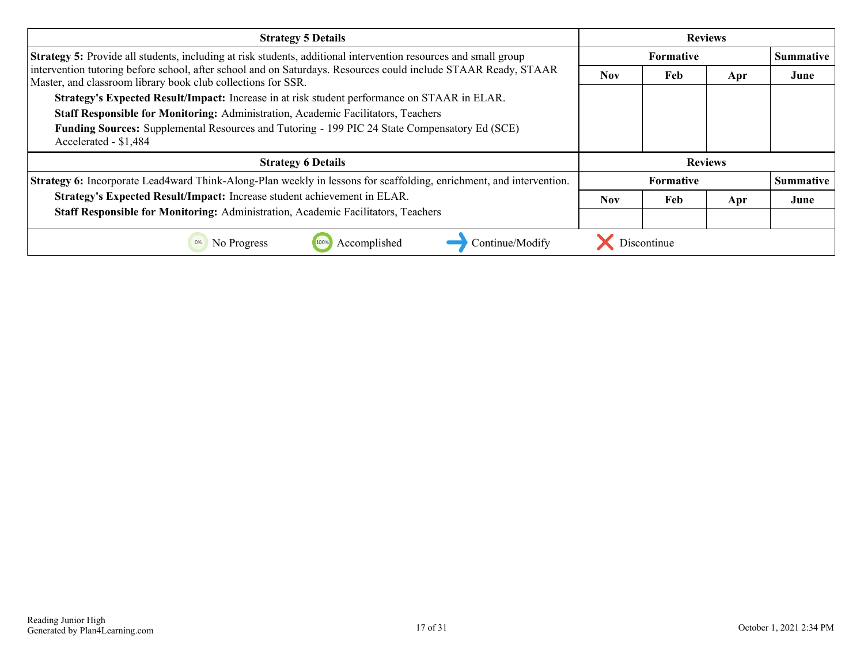| <b>Strategy 5 Details</b>                                                                                                                                                      | <b>Reviews</b>   |             |     |                  |
|--------------------------------------------------------------------------------------------------------------------------------------------------------------------------------|------------------|-------------|-----|------------------|
| Strategy 5: Provide all students, including at risk students, additional intervention resources and small group                                                                | <b>Formative</b> |             |     | <b>Summative</b> |
| intervention tutoring before school, after school and on Saturdays. Resources could include STAAR Ready, STAAR<br>Master, and classroom library book club collections for SSR. | Nov.             | Feb         | Apr | June             |
| Strategy's Expected Result/Impact: Increase in at risk student performance on STAAR in ELAR.                                                                                   |                  |             |     |                  |
| Staff Responsible for Monitoring: Administration, Academic Facilitators, Teachers                                                                                              |                  |             |     |                  |
| <b>Funding Sources:</b> Supplemental Resources and Tutoring - 199 PIC 24 State Compensatory Ed (SCE)<br>Accelerated - \$1,484                                                  |                  |             |     |                  |
| <b>Strategy 6 Details</b>                                                                                                                                                      | <b>Reviews</b>   |             |     |                  |
| Strategy 6: Incorporate Lead4ward Think-Along-Plan weekly in lessons for scaffolding, enrichment, and intervention.                                                            |                  | Formative   |     | <b>Summative</b> |
| Strategy's Expected Result/Impact: Increase student achievement in ELAR.                                                                                                       | <b>Nov</b>       | Feb         | Apr | June             |
| Staff Responsible for Monitoring: Administration, Academic Facilitators, Teachers                                                                                              |                  |             |     |                  |
| Accomplished<br>Continue/Modify<br>No Progress<br>0%                                                                                                                           |                  | Discontinue |     |                  |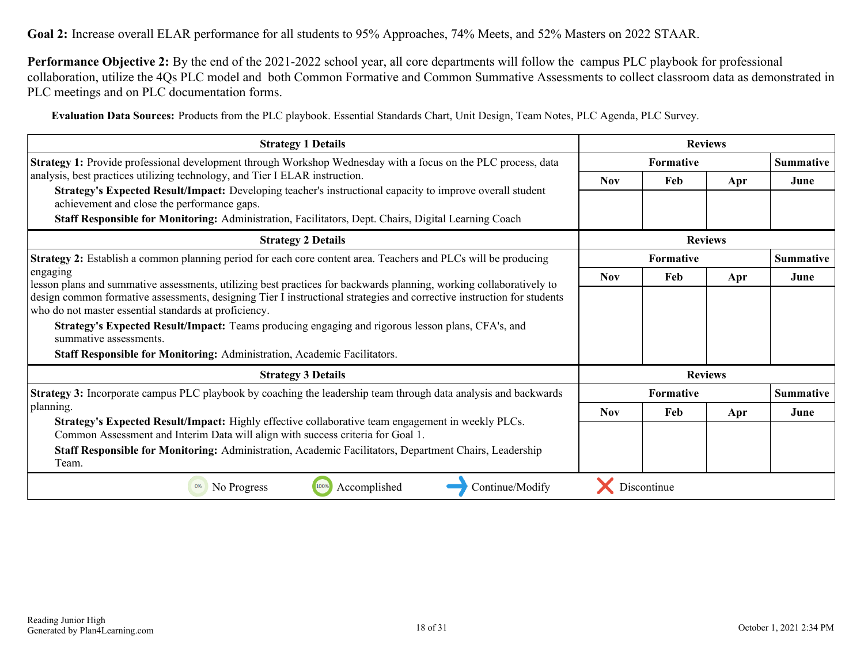**Goal 2:** Increase overall ELAR performance for all students to 95% Approaches, 74% Meets, and 52% Masters on 2022 STAAR.

**Performance Objective 2:** By the end of the 2021-2022 school year, all core departments will follow the campus PLC playbook for professional collaboration, utilize the 4Qs PLC model and both Common Formative and Common Summative Assessments to collect classroom data as demonstrated in PLC meetings and on PLC documentation forms.

**Evaluation Data Sources:** Products from the PLC playbook. Essential Standards Chart, Unit Design, Team Notes, PLC Agenda, PLC Survey.

| <b>Strategy 1 Details</b>                                                                                                                                                                                                                                                            | <b>Reviews</b>   |                |     |                  |
|--------------------------------------------------------------------------------------------------------------------------------------------------------------------------------------------------------------------------------------------------------------------------------------|------------------|----------------|-----|------------------|
| Strategy 1: Provide professional development through Workshop Wednesday with a focus on the PLC process, data                                                                                                                                                                        | <b>Formative</b> |                |     | <b>Summative</b> |
| analysis, best practices utilizing technology, and Tier I ELAR instruction.                                                                                                                                                                                                          | <b>Nov</b>       | Feb            | Apr | June             |
| Strategy's Expected Result/Impact: Developing teacher's instructional capacity to improve overall student<br>achievement and close the performance gaps.                                                                                                                             |                  |                |     |                  |
| Staff Responsible for Monitoring: Administration, Facilitators, Dept. Chairs, Digital Learning Coach                                                                                                                                                                                 |                  |                |     |                  |
| <b>Strategy 2 Details</b>                                                                                                                                                                                                                                                            | <b>Reviews</b>   |                |     |                  |
| Strategy 2: Establish a common planning period for each core content area. Teachers and PLCs will be producing                                                                                                                                                                       | <b>Formative</b> |                |     | Summative        |
| engaging<br>lesson plans and summative assessments, utilizing best practices for backwards planning, working collaboratively to                                                                                                                                                      | <b>Nov</b>       | Feb            | Apr | June             |
| design common formative assessments, designing Tier I instructional strategies and corrective instruction for students<br>who do not master essential standards at proficiency.<br>Strategy's Expected Result/Impact: Teams producing engaging and rigorous lesson plans, CFA's, and |                  |                |     |                  |
| summative assessments.                                                                                                                                                                                                                                                               |                  |                |     |                  |
| Staff Responsible for Monitoring: Administration, Academic Facilitators.                                                                                                                                                                                                             |                  |                |     |                  |
| <b>Strategy 3 Details</b>                                                                                                                                                                                                                                                            |                  | <b>Reviews</b> |     |                  |
| <b>Strategy 3:</b> Incorporate campus PLC playbook by coaching the leadership team through data analysis and backwards                                                                                                                                                               |                  | Formative      |     | <b>Summative</b> |
| planning.                                                                                                                                                                                                                                                                            | <b>Nov</b>       | Feb            | Apr | June             |
| Strategy's Expected Result/Impact: Highly effective collaborative team engagement in weekly PLCs.<br>Common Assessment and Interim Data will align with success criteria for Goal 1.                                                                                                 |                  |                |     |                  |
| Staff Responsible for Monitoring: Administration, Academic Facilitators, Department Chairs, Leadership<br>Team.                                                                                                                                                                      |                  |                |     |                  |
| 100%<br>Accomplished<br>0%<br>No Progress<br>Continue/Modify                                                                                                                                                                                                                         |                  | Discontinue    |     |                  |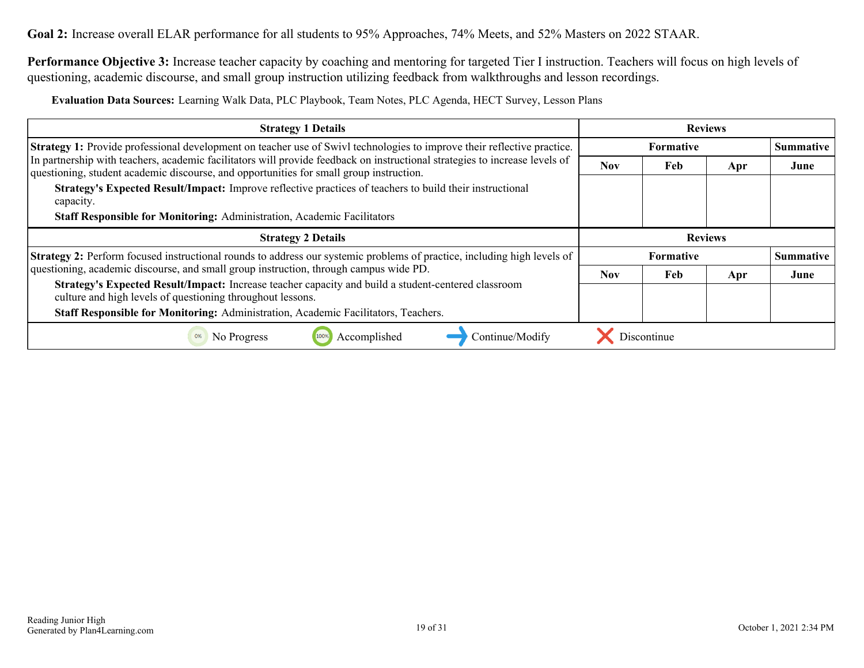**Performance Objective 3:** Increase teacher capacity by coaching and mentoring for targeted Tier I instruction. Teachers will focus on high levels of questioning, academic discourse, and small group instruction utilizing feedback from walkthroughs and lesson recordings.

**Evaluation Data Sources:** Learning Walk Data, PLC Playbook, Team Notes, PLC Agenda, HECT Survey, Lesson Plans

| <b>Strategy 1 Details</b>                                                                                                                                                                                              | <b>Reviews</b>   |             |     |                  |  |                  |
|------------------------------------------------------------------------------------------------------------------------------------------------------------------------------------------------------------------------|------------------|-------------|-----|------------------|--|------------------|
| <b>Strategy 1:</b> Provide professional development on teacher use of Swivl technologies to improve their reflective practice.                                                                                         | <b>Formative</b> |             |     | <b>Summative</b> |  |                  |
| In partnership with teachers, academic facilitators will provide feedback on instructional strategies to increase levels of<br>questioning, student academic discourse, and opportunities for small group instruction. | <b>Nov</b>       | Feb         | Apr | June             |  |                  |
| Strategy's Expected Result/Impact: Improve reflective practices of teachers to build their instructional<br>capacity.<br><b>Staff Responsible for Monitoring: Administration, Academic Facilitators</b>                |                  |             |     |                  |  |                  |
| <b>Strategy 2 Details</b>                                                                                                                                                                                              | <b>Reviews</b>   |             |     |                  |  |                  |
| <b>Strategy 2:</b> Perform focused instructional rounds to address our systemic problems of practice, including high levels of                                                                                         | <b>Formative</b> |             |     |                  |  | <b>Summative</b> |
| questioning, academic discourse, and small group instruction, through campus wide PD.                                                                                                                                  | <b>Nov</b>       | Feb         | Apr | June             |  |                  |
| Strategy's Expected Result/Impact: Increase teacher capacity and build a student-centered classroom<br>culture and high levels of questioning throughout lessons.                                                      |                  |             |     |                  |  |                  |
| Staff Responsible for Monitoring: Administration, Academic Facilitators, Teachers.                                                                                                                                     |                  |             |     |                  |  |                  |
| Accomplished<br>Continue/Modify<br>No Progress<br>0%                                                                                                                                                                   |                  | Discontinue |     |                  |  |                  |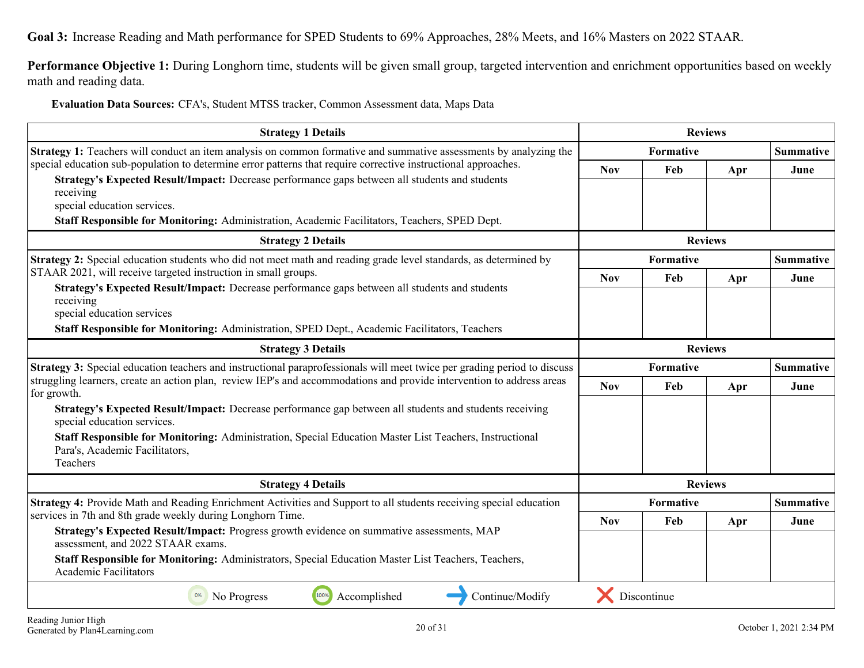<span id="page-19-0"></span>**Goal 3:** Increase Reading and Math performance for SPED Students to 69% Approaches, 28% Meets, and 16% Masters on 2022 STAAR.

**Performance Objective 1:** During Longhorn time, students will be given small group, targeted intervention and enrichment opportunities based on weekly math and reading data.

**Evaluation Data Sources:** CFA's, Student MTSS tracker, Common Assessment data, Maps Data

| <b>Strategy 1 Details</b>                                                                                                                             | <b>Reviews</b> |             |                |                  |
|-------------------------------------------------------------------------------------------------------------------------------------------------------|----------------|-------------|----------------|------------------|
| <b>Strategy 1:</b> Teachers will conduct an item analysis on common formative and summative assessments by analyzing the                              |                | Formative   |                |                  |
| special education sub-population to determine error patterns that require corrective instructional approaches.                                        | <b>Nov</b>     | Feb         | Apr            | June             |
| Strategy's Expected Result/Impact: Decrease performance gaps between all students and students<br>receiving<br>special education services.            |                |             |                |                  |
| Staff Responsible for Monitoring: Administration, Academic Facilitators, Teachers, SPED Dept.                                                         |                |             |                |                  |
| <b>Strategy 2 Details</b>                                                                                                                             |                |             | <b>Reviews</b> |                  |
| Strategy 2: Special education students who did not meet math and reading grade level standards, as determined by                                      |                | Formative   |                | <b>Summative</b> |
| STAAR 2021, will receive targeted instruction in small groups.                                                                                        | <b>Nov</b>     | Feb         | Apr            | June             |
| Strategy's Expected Result/Impact: Decrease performance gaps between all students and students<br>receiving<br>special education services             |                |             |                |                  |
| Staff Responsible for Monitoring: Administration, SPED Dept., Academic Facilitators, Teachers                                                         |                |             |                |                  |
| <b>Strategy 3 Details</b>                                                                                                                             |                |             | <b>Reviews</b> |                  |
| Strategy 3: Special education teachers and instructional paraprofessionals will meet twice per grading period to discuss                              |                | Formative   |                | <b>Summative</b> |
| struggling learners, create an action plan, review IEP's and accommodations and provide intervention to address areas<br>for growth.                  | <b>Nov</b>     | Feb         | Apr            | June             |
| Strategy's Expected Result/Impact: Decrease performance gap between all students and students receiving<br>special education services.                |                |             |                |                  |
| Staff Responsible for Monitoring: Administration, Special Education Master List Teachers, Instructional<br>Para's, Academic Facilitators,<br>Teachers |                |             |                |                  |
| <b>Strategy 4 Details</b>                                                                                                                             |                |             | <b>Reviews</b> |                  |
| Strategy 4: Provide Math and Reading Enrichment Activities and Support to all students receiving special education                                    |                | Formative   |                | <b>Summative</b> |
| services in 7th and 8th grade weekly during Longhorn Time.                                                                                            | <b>Nov</b>     | Feb         | Apr            | June             |
| Strategy's Expected Result/Impact: Progress growth evidence on summative assessments, MAP<br>assessment, and 2022 STAAR exams.                        |                |             |                |                  |
| Staff Responsible for Monitoring: Administrators, Special Education Master List Teachers, Teachers,<br><b>Academic Facilitators</b>                   |                |             |                |                  |
| 100%<br>Accomplished<br>No Progress<br>Continue/Modify<br>0%                                                                                          |                | Discontinue |                |                  |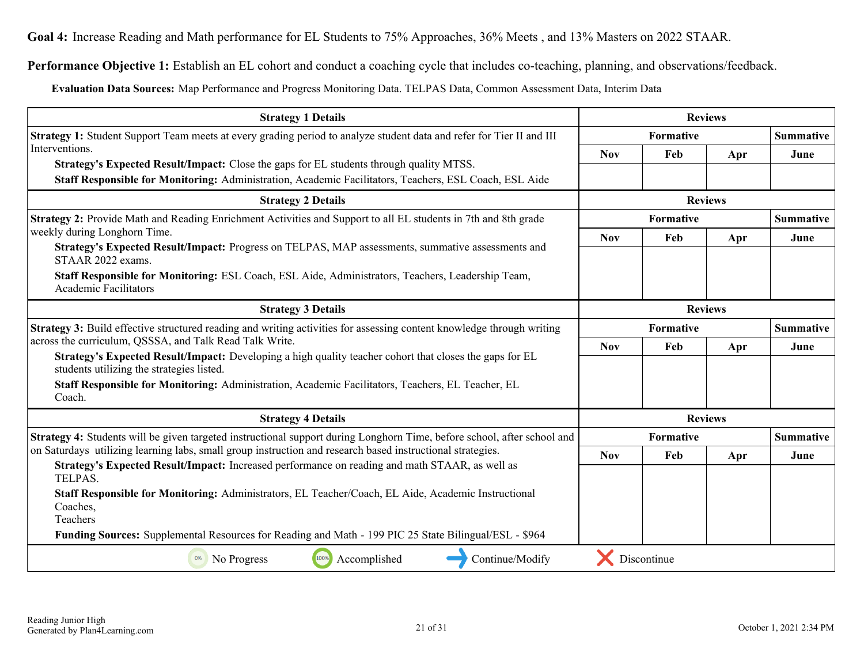<span id="page-20-0"></span>**Goal 4:** Increase Reading and Math performance for EL Students to 75% Approaches, 36% Meets , and 13% Masters on 2022 STAAR.

**Performance Objective 1:** Establish an EL cohort and conduct a coaching cycle that includes co-teaching, planning, and observations/feedback.

**Evaluation Data Sources:** Map Performance and Progress Monitoring Data. TELPAS Data, Common Assessment Data, Interim Data

| <b>Strategy 1 Details</b>                                                                                                                                                                                | <b>Reviews</b> |                  |                |                  |
|----------------------------------------------------------------------------------------------------------------------------------------------------------------------------------------------------------|----------------|------------------|----------------|------------------|
| Strategy 1: Student Support Team meets at every grading period to analyze student data and refer for Tier II and III                                                                                     | Formative      |                  |                | <b>Summative</b> |
| Interventions.                                                                                                                                                                                           | <b>Nov</b>     | Feb              | Apr            | June             |
| <b>Strategy's Expected Result/Impact:</b> Close the gaps for EL students through quality MTSS.<br>Staff Responsible for Monitoring: Administration, Academic Facilitators, Teachers, ESL Coach, ESL Aide |                |                  |                |                  |
|                                                                                                                                                                                                          |                |                  |                |                  |
| <b>Strategy 2 Details</b>                                                                                                                                                                                | <b>Reviews</b> |                  |                |                  |
| Strategy 2: Provide Math and Reading Enrichment Activities and Support to all EL students in 7th and 8th grade                                                                                           |                | Formative        |                | <b>Summative</b> |
| weekly during Longhorn Time.                                                                                                                                                                             | <b>Nov</b>     | Feb              | Apr            | June             |
| Strategy's Expected Result/Impact: Progress on TELPAS, MAP assessments, summative assessments and<br>STAAR 2022 exams.                                                                                   |                |                  |                |                  |
| Staff Responsible for Monitoring: ESL Coach, ESL Aide, Administrators, Teachers, Leadership Team,<br><b>Academic Facilitators</b>                                                                        |                |                  |                |                  |
| <b>Strategy 3 Details</b>                                                                                                                                                                                |                |                  | <b>Reviews</b> |                  |
| <b>Strategy 3:</b> Build effective structured reading and writing activities for assessing content knowledge through writing                                                                             |                | Formative        |                | <b>Summative</b> |
| across the curriculum, QSSSA, and Talk Read Talk Write.                                                                                                                                                  | <b>Nov</b>     | Feb              | Apr            | June             |
| Strategy's Expected Result/Impact: Developing a high quality teacher cohort that closes the gaps for EL<br>students utilizing the strategies listed.                                                     |                |                  |                |                  |
| Staff Responsible for Monitoring: Administration, Academic Facilitators, Teachers, EL Teacher, EL<br>Coach.                                                                                              |                |                  |                |                  |
| <b>Strategy 4 Details</b>                                                                                                                                                                                |                |                  | <b>Reviews</b> |                  |
| Strategy 4: Students will be given targeted instructional support during Longhorn Time, before school, after school and                                                                                  |                | <b>Formative</b> |                | <b>Summative</b> |
| on Saturdays utilizing learning labs, small group instruction and research based instructional strategies.                                                                                               | <b>Nov</b>     | Feb              | Apr            | June             |
| Strategy's Expected Result/Impact: Increased performance on reading and math STAAR, as well as<br>TELPAS.                                                                                                |                |                  |                |                  |
| Staff Responsible for Monitoring: Administrators, EL Teacher/Coach, EL Aide, Academic Instructional                                                                                                      |                |                  |                |                  |
| Coaches,<br>Teachers                                                                                                                                                                                     |                |                  |                |                  |
| Funding Sources: Supplemental Resources for Reading and Math - 199 PIC 25 State Bilingual/ESL - \$964                                                                                                    |                |                  |                |                  |
| Accomplished<br>Continue/Modify<br>No Progress<br>100%<br>0%                                                                                                                                             |                | Discontinue      |                |                  |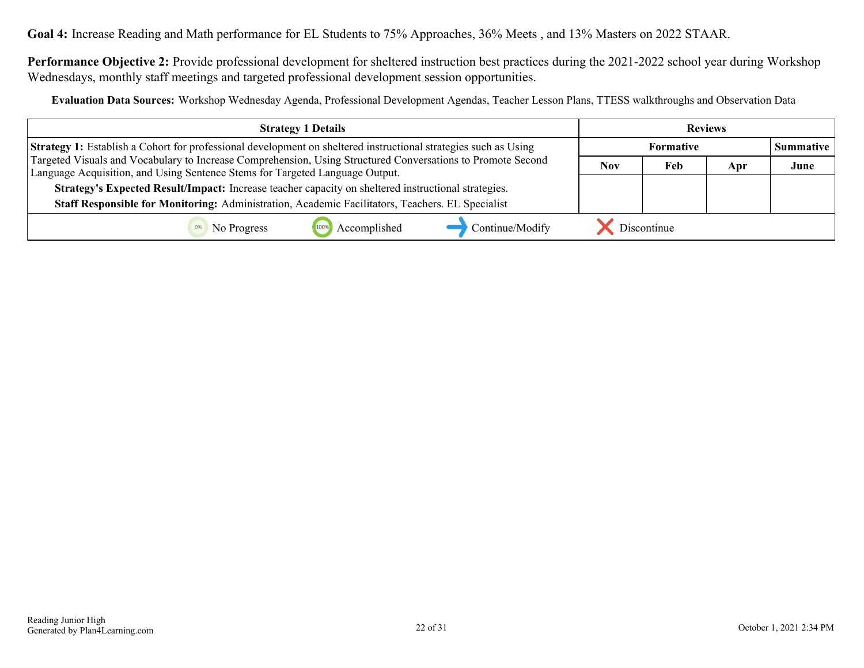**Goal 4:** Increase Reading and Math performance for EL Students to 75% Approaches, 36% Meets , and 13% Masters on 2022 STAAR.

**Performance Objective 2:** Provide professional development for sheltered instruction best practices during the 2021-2022 school year during Workshop Wednesdays, monthly staff meetings and targeted professional development session opportunities.

**Evaluation Data Sources:** Workshop Wednesday Agenda, Professional Development Agendas, Teacher Lesson Plans, TTESS walkthroughs and Observation Data

| <b>Strategy 1 Details</b>                                                                                                                                                                   |     |             | <b>Reviews</b> |                  |
|---------------------------------------------------------------------------------------------------------------------------------------------------------------------------------------------|-----|-------------|----------------|------------------|
| <b>Strategy 1:</b> Establish a Cohort for professional development on sheltered instructional strategies such as Using                                                                      |     |             |                | <b>Summative</b> |
| Targeted Visuals and Vocabulary to Increase Comprehension, Using Structured Conversations to Promote Second<br>Language Acquisition, and Using Sentence Stems for Targeted Language Output. | Nov | Feb         | Apr            | June             |
| Strategy's Expected Result/Impact: Increase teacher capacity on sheltered instructional strategies.                                                                                         |     |             |                |                  |
| Staff Responsible for Monitoring: Administration, Academic Facilitators, Teachers. EL Specialist                                                                                            |     |             |                |                  |
| Accomplished<br>Continue/Modify<br>No Progress                                                                                                                                              |     | Discontinue |                |                  |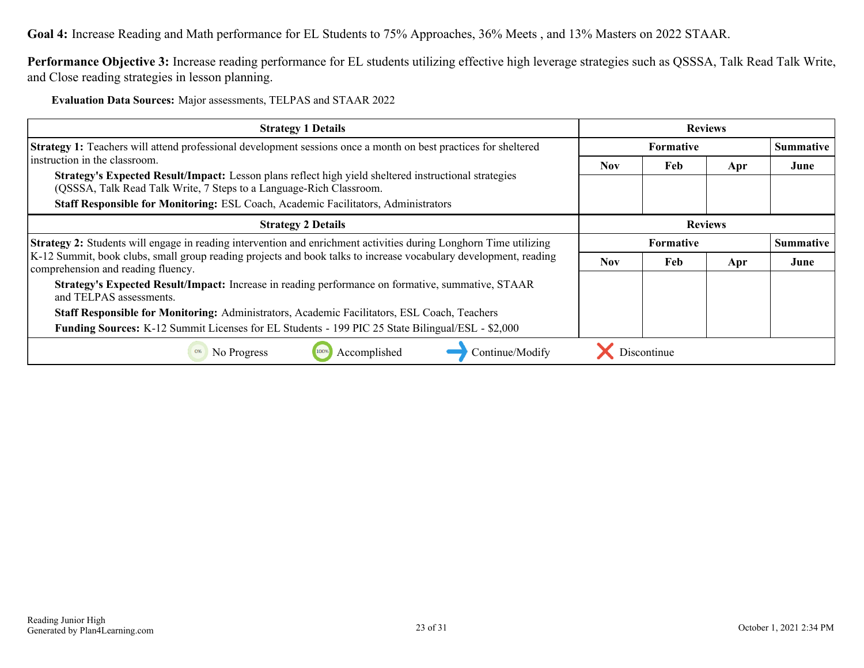**Goal 4:** Increase Reading and Math performance for EL Students to 75% Approaches, 36% Meets , and 13% Masters on 2022 STAAR.

**Performance Objective 3:** Increase reading performance for EL students utilizing effective high leverage strategies such as QSSSA, Talk Read Talk Write, and Close reading strategies in lesson planning.

**Evaluation Data Sources:** Major assessments, TELPAS and STAAR 2022

| <b>Strategy 1 Details</b>                                                                                                                                                                                                                                                                           | <b>Reviews</b>   |                  |     |                  |
|-----------------------------------------------------------------------------------------------------------------------------------------------------------------------------------------------------------------------------------------------------------------------------------------------------|------------------|------------------|-----|------------------|
| Strategy 1: Teachers will attend professional development sessions once a month on best practices for sheltered                                                                                                                                                                                     | <b>Formative</b> |                  |     | <b>Summative</b> |
| instruction in the classroom.<br>Strategy's Expected Result/Impact: Lesson plans reflect high yield sheltered instructional strategies<br>(QSSSA, Talk Read Talk Write, 7 Steps to a Language-Rich Classroom.<br>Staff Responsible for Monitoring: ESL Coach, Academic Facilitators, Administrators | <b>Nov</b>       | Feb              | Apr | June             |
| <b>Strategy 2 Details</b>                                                                                                                                                                                                                                                                           | <b>Reviews</b>   |                  |     |                  |
| <b>Strategy 2:</b> Students will engage in reading intervention and enrichment activities during Longhorn Time utilizing                                                                                                                                                                            |                  | <b>Formative</b> |     |                  |
| K-12 Summit, book clubs, small group reading projects and book talks to increase vocabulary development, reading<br>comprehension and reading fluency.                                                                                                                                              | Nov.             | Feb              | Apr | June             |
| Strategy's Expected Result/Impact: Increase in reading performance on formative, summative, STAAR<br>and TELPAS assessments.                                                                                                                                                                        |                  |                  |     |                  |
| <b>Staff Responsible for Monitoring:</b> Administrators, Academic Facilitators, ESL Coach, Teachers                                                                                                                                                                                                 |                  |                  |     |                  |
| <b>Funding Sources:</b> K-12 Summit Licenses for EL Students - 199 PIC 25 State Bilingual/ESL - \$2,000                                                                                                                                                                                             |                  |                  |     |                  |
| Continue/Modify<br>0%<br>No Progress<br>Accomplished                                                                                                                                                                                                                                                |                  | Discontinue      |     |                  |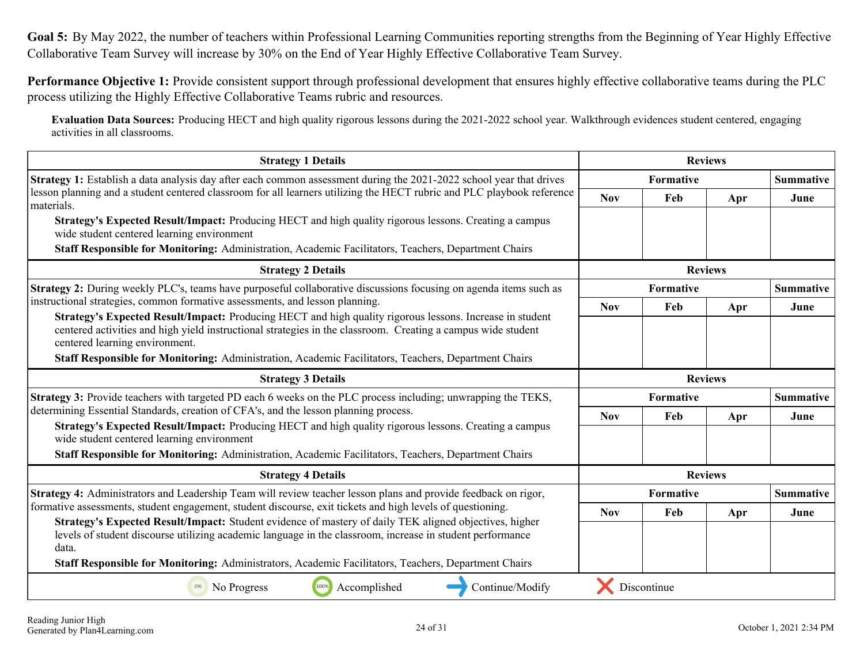<span id="page-23-0"></span>**Goal 5:** By May 2022, the number of teachers within Professional Learning Communities reporting strengths from the Beginning of Year Highly Effective Collaborative Team Survey will increase by 30% on the End of Year Highly Effective Collaborative Team Survey.

**Performance Objective 1:** Provide consistent support through professional development that ensures highly effective collaborative teams during the PLC process utilizing the Highly Effective Collaborative Teams rubric and resources.

**Evaluation Data Sources:** Producing HECT and high quality rigorous lessons during the 2021-2022 school year. Walkthrough evidences student centered, engaging activities in all classrooms.

| <b>Strategy 1 Details</b>                                                                                                                                                                                                                                    | <b>Reviews</b> |             |                |                  |
|--------------------------------------------------------------------------------------------------------------------------------------------------------------------------------------------------------------------------------------------------------------|----------------|-------------|----------------|------------------|
| Strategy 1: Establish a data analysis day after each common assessment during the 2021-2022 school year that drives                                                                                                                                          | Formative      |             |                | <b>Summative</b> |
| lesson planning and a student centered classroom for all learners utilizing the HECT rubric and PLC playbook reference<br>materials.                                                                                                                         | <b>Nov</b>     | Feb         | Apr            | June             |
| Strategy's Expected Result/Impact: Producing HECT and high quality rigorous lessons. Creating a campus<br>wide student centered learning environment                                                                                                         |                |             |                |                  |
| Staff Responsible for Monitoring: Administration, Academic Facilitators, Teachers, Department Chairs                                                                                                                                                         |                |             |                |                  |
| <b>Strategy 2 Details</b>                                                                                                                                                                                                                                    |                |             | <b>Reviews</b> |                  |
| <b>Strategy 2:</b> During weekly PLC's, teams have purposeful collaborative discussions focusing on agenda items such as                                                                                                                                     |                | Formative   |                | <b>Summative</b> |
| instructional strategies, common formative assessments, and lesson planning.                                                                                                                                                                                 | <b>Nov</b>     | Feb         | Apr            | June             |
| Strategy's Expected Result/Impact: Producing HECT and high quality rigorous lessons. Increase in student<br>centered activities and high yield instructional strategies in the classroom. Creating a campus wide student<br>centered learning environment.   |                |             |                |                  |
| Staff Responsible for Monitoring: Administration, Academic Facilitators, Teachers, Department Chairs                                                                                                                                                         |                |             |                |                  |
| <b>Strategy 3 Details</b>                                                                                                                                                                                                                                    |                |             | <b>Reviews</b> |                  |
| Strategy 3: Provide teachers with targeted PD each 6 weeks on the PLC process including; unwrapping the TEKS,                                                                                                                                                | Formative      |             |                | <b>Summative</b> |
| determining Essential Standards, creation of CFA's, and the lesson planning process.                                                                                                                                                                         | <b>Nov</b>     | Feb         | Apr            | June             |
| Strategy's Expected Result/Impact: Producing HECT and high quality rigorous lessons. Creating a campus<br>wide student centered learning environment<br>Staff Responsible for Monitoring: Administration, Academic Facilitators, Teachers, Department Chairs |                |             |                |                  |
| <b>Strategy 4 Details</b>                                                                                                                                                                                                                                    |                |             | <b>Reviews</b> |                  |
| Strategy 4: Administrators and Leadership Team will review teacher lesson plans and provide feedback on rigor,                                                                                                                                               | Formative      |             |                | <b>Summative</b> |
| formative assessments, student engagement, student discourse, exit tickets and high levels of questioning.                                                                                                                                                   | <b>Nov</b>     | Feb         | Apr            | June             |
| Strategy's Expected Result/Impact: Student evidence of mastery of daily TEK aligned objectives, higher<br>levels of student discourse utilizing academic language in the classroom, increase in student performance<br>data.                                 |                |             |                |                  |
| Staff Responsible for Monitoring: Administrators, Academic Facilitators, Teachers, Department Chairs                                                                                                                                                         |                |             |                |                  |
| 100%<br>Accomplished<br>Continue/Modify<br>No Progress<br>0%                                                                                                                                                                                                 |                | Discontinue |                |                  |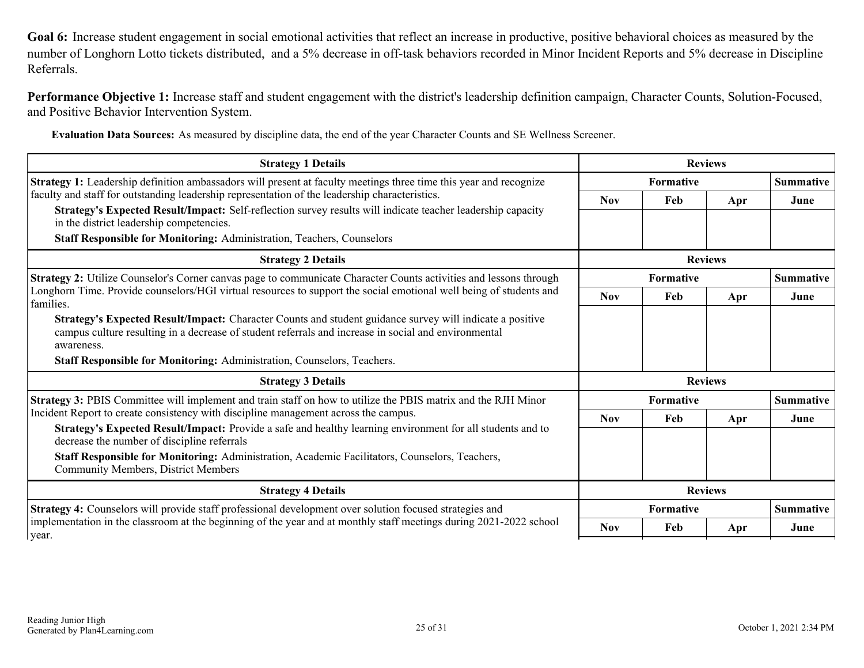<span id="page-24-0"></span>**Goal 6:** Increase student engagement in social emotional activities that reflect an increase in productive, positive behavioral choices as measured by the number of Longhorn Lotto tickets distributed, and a 5% decrease in off-task behaviors recorded in Minor Incident Reports and 5% decrease in Discipline Referrals.

**Performance Objective 1:** Increase staff and student engagement with the district's leadership definition campaign, Character Counts, Solution-Focused, and Positive Behavior Intervention System.

**Evaluation Data Sources:** As measured by discipline data, the end of the year Character Counts and SE Wellness Screener.

| <b>Strategy 1 Details</b>                                                                                                                                                                                                                                                                                 | <b>Reviews</b>   |                  |                |                  |
|-----------------------------------------------------------------------------------------------------------------------------------------------------------------------------------------------------------------------------------------------------------------------------------------------------------|------------------|------------------|----------------|------------------|
| <b>Strategy 1:</b> Leadership definition ambassadors will present at faculty meetings three time this year and recognize                                                                                                                                                                                  | <b>Formative</b> |                  |                | <b>Summative</b> |
| faculty and staff for outstanding leadership representation of the leadership characteristics.                                                                                                                                                                                                            | <b>Nov</b>       | Feb              | Apr            | June             |
| Strategy's Expected Result/Impact: Self-reflection survey results will indicate teacher leadership capacity<br>in the district leadership competencies.                                                                                                                                                   |                  |                  |                |                  |
| Staff Responsible for Monitoring: Administration, Teachers, Counselors                                                                                                                                                                                                                                    |                  |                  |                |                  |
| <b>Strategy 2 Details</b>                                                                                                                                                                                                                                                                                 |                  |                  | <b>Reviews</b> |                  |
| Strategy 2: Utilize Counselor's Corner canvas page to communicate Character Counts activities and lessons through                                                                                                                                                                                         | <b>Formative</b> |                  |                | <b>Summative</b> |
| Longhorn Time. Provide counselors/HGI virtual resources to support the social emotional well being of students and<br>families.                                                                                                                                                                           | <b>Nov</b>       | Feb              | Apr            | June             |
| Strategy's Expected Result/Impact: Character Counts and student guidance survey will indicate a positive<br>campus culture resulting in a decrease of student referrals and increase in social and environmental<br>awareness.<br>Staff Responsible for Monitoring: Administration, Counselors, Teachers. |                  |                  |                |                  |
| <b>Strategy 3 Details</b>                                                                                                                                                                                                                                                                                 | <b>Reviews</b>   |                  |                |                  |
| Strategy 3: PBIS Committee will implement and train staff on how to utilize the PBIS matrix and the RJH Minor                                                                                                                                                                                             |                  | <b>Formative</b> |                | <b>Summative</b> |
| Incident Report to create consistency with discipline management across the campus.                                                                                                                                                                                                                       | <b>Nov</b>       | Feb              | Apr            | June             |
| Strategy's Expected Result/Impact: Provide a safe and healthy learning environment for all students and to<br>decrease the number of discipline referrals                                                                                                                                                 |                  |                  |                |                  |
| Staff Responsible for Monitoring: Administration, Academic Facilitators, Counselors, Teachers,<br>Community Members, District Members                                                                                                                                                                     |                  |                  |                |                  |
| <b>Strategy 4 Details</b><br><b>Reviews</b>                                                                                                                                                                                                                                                               |                  |                  |                |                  |
| Strategy 4: Counselors will provide staff professional development over solution focused strategies and                                                                                                                                                                                                   | <b>Formative</b> |                  |                | <b>Summative</b> |
| implementation in the classroom at the beginning of the year and at monthly staff meetings during 2021-2022 school<br>vear.                                                                                                                                                                               |                  | Feb              | Apr            | June             |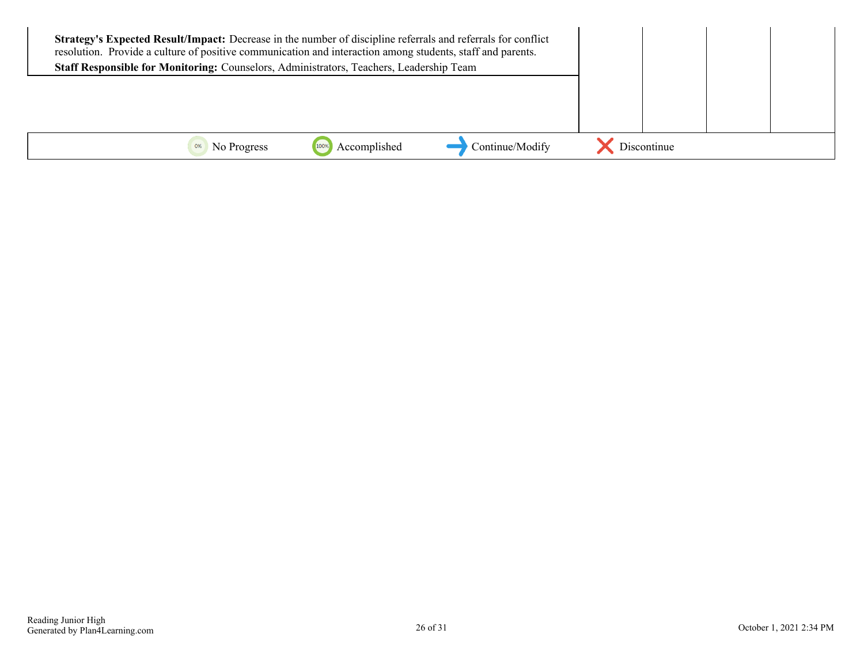| Strategy's Expected Result/Impact: Decrease in the number of discipline referrals and referrals for conflict<br>resolution. Provide a culture of positive communication and interaction among students, staff and parents.<br>Staff Responsible for Monitoring: Counselors, Administrators, Teachers, Leadership Team |              |                 |             |  |
|-----------------------------------------------------------------------------------------------------------------------------------------------------------------------------------------------------------------------------------------------------------------------------------------------------------------------|--------------|-----------------|-------------|--|
|                                                                                                                                                                                                                                                                                                                       |              |                 |             |  |
| No Progress                                                                                                                                                                                                                                                                                                           | Accomplished | Continue/Modify | Discontinue |  |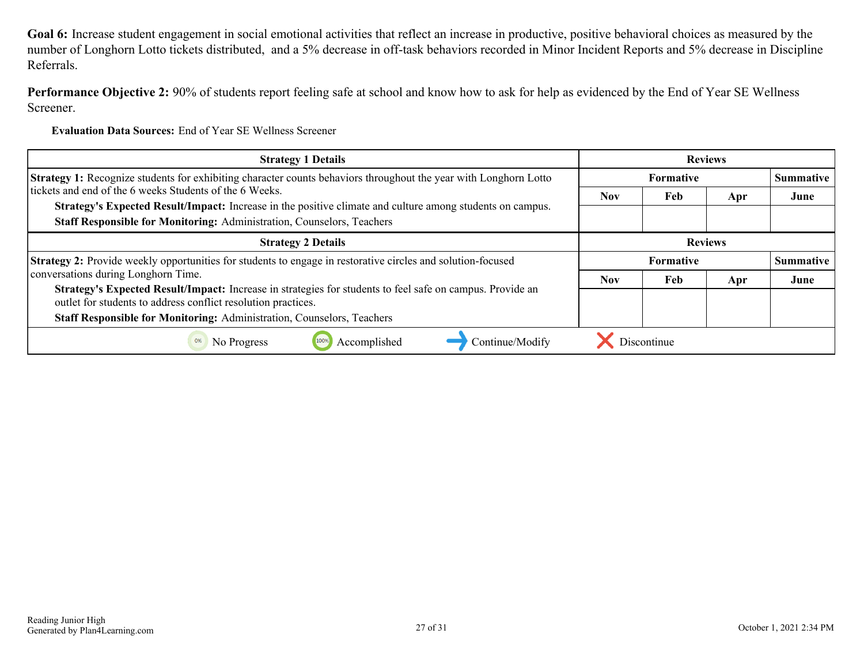**Goal 6:** Increase student engagement in social emotional activities that reflect an increase in productive, positive behavioral choices as measured by the number of Longhorn Lotto tickets distributed, and a 5% decrease in off-task behaviors recorded in Minor Incident Reports and 5% decrease in Discipline Referrals.

**Performance Objective 2:** 90% of students report feeling safe at school and know how to ask for help as evidenced by the End of Year SE Wellness Screener.

**Evaluation Data Sources:** End of Year SE Wellness Screener

| <b>Strategy 1 Details</b>                                                                                                                                                  | <b>Reviews</b>   |                               |     |                  |
|----------------------------------------------------------------------------------------------------------------------------------------------------------------------------|------------------|-------------------------------|-----|------------------|
| <b>Strategy 1:</b> Recognize students for exhibiting character counts behaviors throughout the year with Longhorn Lotto                                                    | <b>Formative</b> |                               |     | <b>Summative</b> |
| tickets and end of the 6 weeks Students of the 6 Weeks.                                                                                                                    | <b>Nov</b>       | Feb                           | Apr | June             |
| Strategy's Expected Result/Impact: Increase in the positive climate and culture among students on campus.                                                                  |                  |                               |     |                  |
| Staff Responsible for Monitoring: Administration, Counselors, Teachers                                                                                                     |                  |                               |     |                  |
| <b>Strategy 2 Details</b>                                                                                                                                                  |                  | <b>Reviews</b>                |     |                  |
| Strategy 2: Provide weekly opportunities for students to engage in restorative circles and solution-focused                                                                |                  | Summative<br><b>Formative</b> |     |                  |
| conversations during Longhorn Time.                                                                                                                                        | <b>Nov</b>       | Feb                           | Apr | June             |
| Strategy's Expected Result/Impact: Increase in strategies for students to feel safe on campus. Provide an<br>outlet for students to address conflict resolution practices. |                  |                               |     |                  |
| Staff Responsible for Monitoring: Administration, Counselors, Teachers                                                                                                     |                  |                               |     |                  |
| Accomplished<br>Continue/Modify<br>No Progress<br>0%                                                                                                                       |                  | Discontinue                   |     |                  |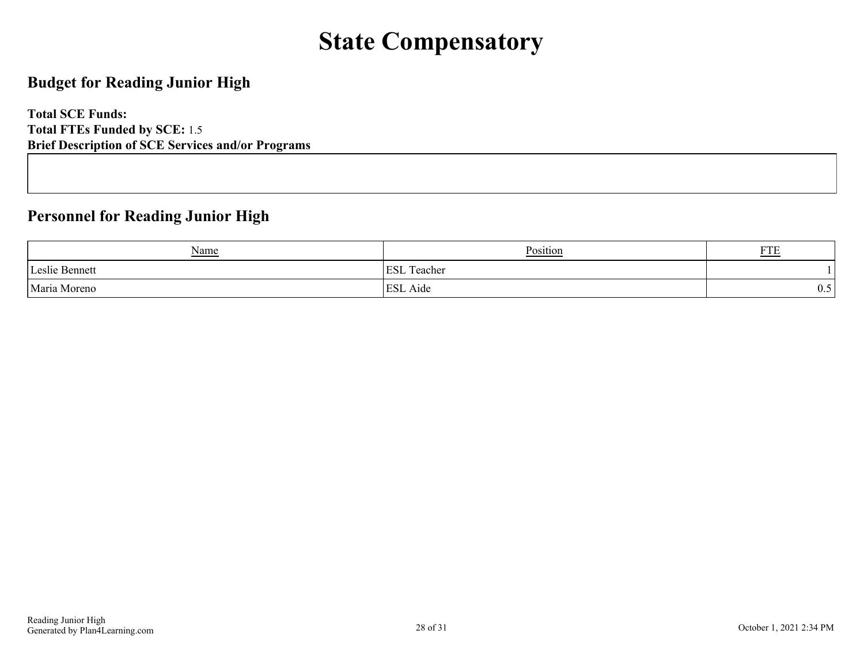### **State Compensatory**

### <span id="page-27-0"></span>**Budget for Reading Junior High**

**Total SCE Funds: Total FTEs Funded by SCE:** 1.5 **Brief Description of SCE Services and/or Programs**

### **Personnel for Reading Junior High**

| <u>Name</u>    | Position                              | <b>DOD</b><br>1 1 L |
|----------------|---------------------------------------|---------------------|
| Leslie Bennett | $\mathbf{r}$<br><b>ESL</b><br>ſeacher |                     |
| Maria Moreno   | <b>ESL</b> Aide                       | ∪.∪                 |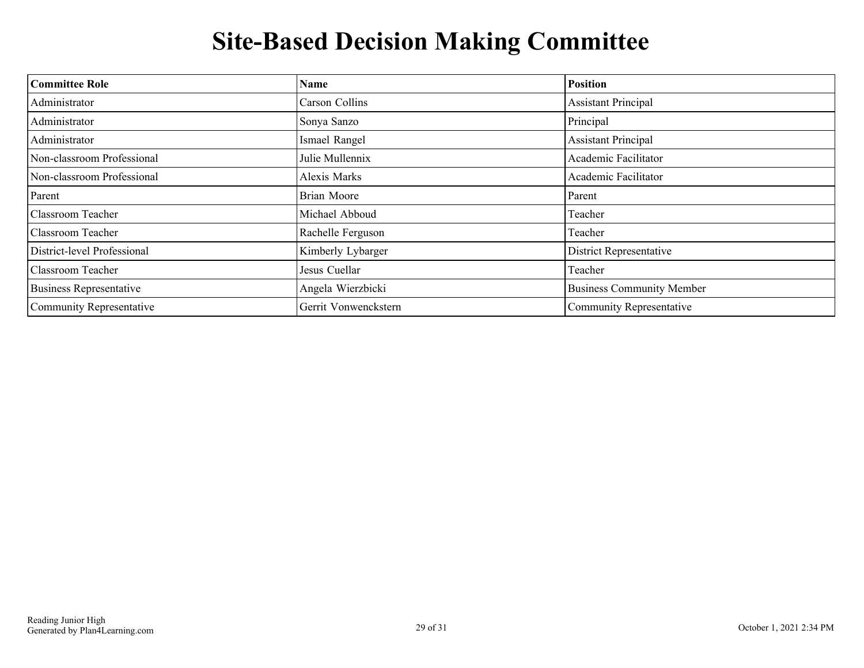## **Site-Based Decision Making Committee**

<span id="page-28-0"></span>

| <b>Committee Role</b>          | <b>Name</b>          | <b>Position</b>                  |
|--------------------------------|----------------------|----------------------------------|
| Administrator                  | Carson Collins       | <b>Assistant Principal</b>       |
| Administrator                  | Sonya Sanzo          | Principal                        |
| Administrator                  | Ismael Rangel        | <b>Assistant Principal</b>       |
| Non-classroom Professional     | Julie Mullennix      | Academic Facilitator             |
| Non-classroom Professional     | Alexis Marks         | Academic Facilitator             |
| Parent                         | <b>Brian Moore</b>   | Parent                           |
| <b>Classroom Teacher</b>       | Michael Abboud       | Teacher                          |
| <b>Classroom Teacher</b>       | Rachelle Ferguson    | Teacher                          |
| District-level Professional    | Kimberly Lybarger    | <b>District Representative</b>   |
| <b>Classroom Teacher</b>       | Jesus Cuellar        | Teacher                          |
| <b>Business Representative</b> | Angela Wierzbicki    | <b>Business Community Member</b> |
| Community Representative       | Gerrit Vonwenckstern | Community Representative         |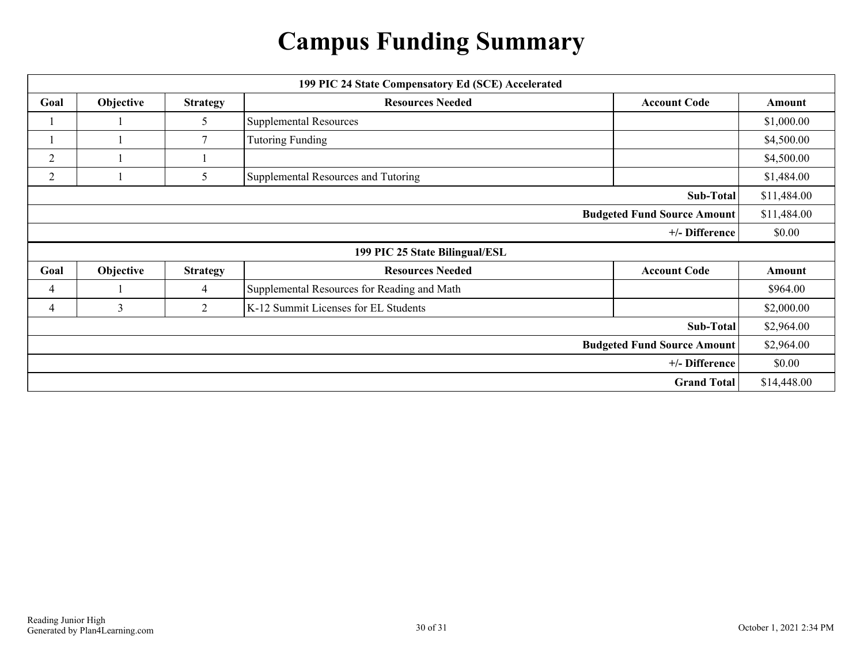## **Campus Funding Summary**

<span id="page-29-0"></span>

|                | 199 PIC 24 State Compensatory Ed (SCE) Accelerated                             |                 |                                             |                                    |             |  |
|----------------|--------------------------------------------------------------------------------|-----------------|---------------------------------------------|------------------------------------|-------------|--|
| Goal           | Objective<br><b>Resources Needed</b><br><b>Strategy</b><br><b>Account Code</b> |                 |                                             | Amount                             |             |  |
|                |                                                                                | 5               | <b>Supplemental Resources</b>               |                                    | \$1,000.00  |  |
|                |                                                                                | 7               | <b>Tutoring Funding</b>                     |                                    | \$4,500.00  |  |
| $\overline{2}$ |                                                                                |                 |                                             |                                    | \$4,500.00  |  |
| $\overline{2}$ |                                                                                | 5               | Supplemental Resources and Tutoring         |                                    | \$1,484.00  |  |
|                |                                                                                |                 |                                             | Sub-Total                          | \$11,484.00 |  |
|                |                                                                                |                 |                                             | <b>Budgeted Fund Source Amount</b> | \$11,484.00 |  |
|                |                                                                                |                 |                                             | +/- Difference                     | \$0.00      |  |
|                |                                                                                |                 | 199 PIC 25 State Bilingual/ESL              |                                    |             |  |
| Goal           | Objective                                                                      | <b>Strategy</b> | <b>Resources Needed</b>                     | <b>Account Code</b>                | Amount      |  |
| 4              |                                                                                | 4               | Supplemental Resources for Reading and Math |                                    | \$964.00    |  |
| 4              | $\overline{3}$                                                                 | 2               | K-12 Summit Licenses for EL Students        |                                    | \$2,000.00  |  |
|                |                                                                                |                 |                                             | Sub-Total                          | \$2,964.00  |  |
|                |                                                                                |                 |                                             | <b>Budgeted Fund Source Amount</b> | \$2,964.00  |  |
|                |                                                                                |                 |                                             | +/- Difference                     | \$0.00      |  |
|                |                                                                                |                 |                                             | <b>Grand Total</b>                 | \$14,448.00 |  |